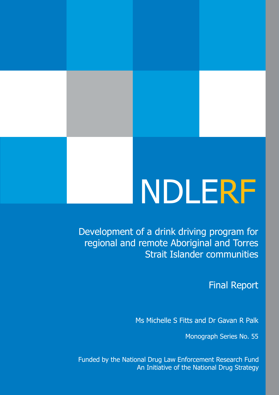# NDLERF

Development of a drink driving program for regional and remote Aboriginal and Torres Strait Islander communities

# Final Report

Ms Michelle S Fitts and Dr Gavan R Palk

Monograph Series No. 55

Funded by the National Drug Law Enforcement Research Fund An Initiative of the National Drug Strategy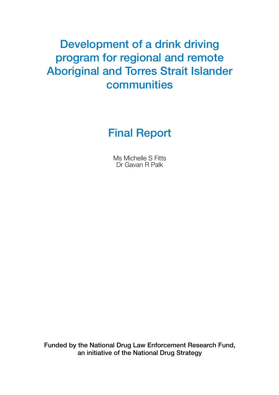# Development of a drink driving program for regional and remote Aboriginal and Torres Strait Islander communities

Final Report

Ms Michelle S Fitts Dr Gavan R Palk

Funded by the National Drug Law Enforcement Research Fund, an initiative of the National Drug Strategy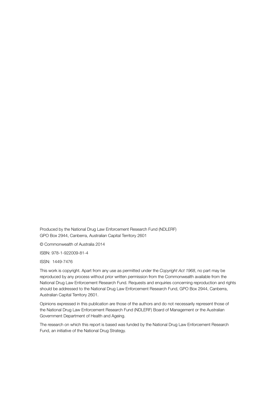Produced by the National Drug Law Enforcement Research Fund (NDLERF) GPO Box 2944, Canberra, Australian Capital Territory 2601

© Commonwealth of Australia 2014

ISBN: 978-1-922009-81-4

ISSN: 1449-7476

This work is copyright. Apart from any use as permitted under the *Copyright Act 1968*, no part may be reproduced by any process without prior written permission from the Commonwealth available from the National Drug Law Enforcement Research Fund. Requests and enquiries concerning reproduction and rights should be addressed to the National Drug Law Enforcement Research Fund, GPO Box 2944, Canberra, Australian Capital Territory 2601.

Opinions expressed in this publication are those of the authors and do not necessarily represent those of the National Drug Law Enforcement Research Fund (NDLERF) Board of Management or the Australian Government Department of Health and Ageing.

The research on which this report is based was funded by the National Drug Law Enforcement Research Fund, an initiative of the National Drug Strategy.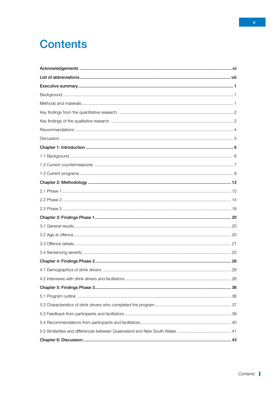# **Contents**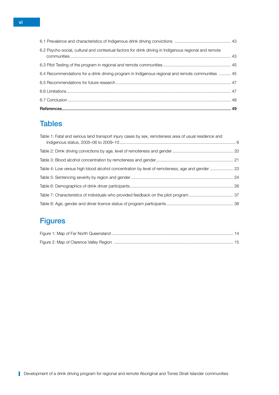| 6.4 Recommendations for a drink driving program in Indigenous regional and remote communities  45      |
|--------------------------------------------------------------------------------------------------------|
|                                                                                                        |
| 6.2 Psycho-social, cultural and contextual factors for drink driving in Indigenous regional and remote |
|                                                                                                        |

# **Tables**

| Table 1: Fatal and serious land transport injury cases by sex, remoteness area of usual residence and |  |
|-------------------------------------------------------------------------------------------------------|--|
|                                                                                                       |  |
|                                                                                                       |  |
| Table 4: Low versus high blood alcohol concentration by level of remoteness, age and gender  23       |  |
|                                                                                                       |  |
|                                                                                                       |  |
|                                                                                                       |  |
|                                                                                                       |  |

# **Figures**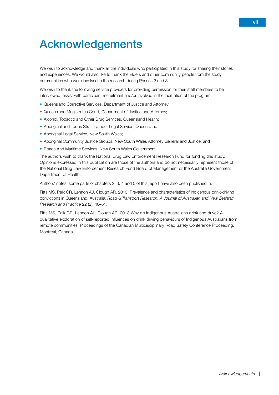# <span id="page-6-0"></span>Acknowledgements

We wish to acknowledge and thank all the individuals who participated in this study for sharing their stories and experiences. We would also like to thank the Elders and other community people from the study communities who were involved in the research during Phases 2 and 3.

We wish to thank the following service providers for providing permission for their staff members to be interviewed, assist with participant recruitment and/or involved in the facilitation of the program:

- Queensland Corrective Services, Department of Justice and Attorney;
- Queensland Magistrates Court, Department of Justice and Attorney;
- Alcohol, Tobacco and Other Drug Services, Queensland Health;
- Aboriginal and Torres Strait Islander Legal Service, Queensland;
- Aboriginal Legal Service, New South Wales;
- Aboriginal Community Justice Groups, New South Wales Attorney General and Justice; and
- Roads And Maritime Services, New South Wales Government.

The authors wish to thank the National Drug Law Enforcement Research Fund for funding this study. Opinions expressed in this publication are those of the authors and do not necessarily represent those of the National Drug Law Enforcement Research Fund Board of Management or the Australia Government Department of Health.

Authors' notes: some parts of chapters 2, 3, 4 and 5 of this report have also been published in:

Fitts MS, Palk GR, Lennon AJ, Clough AR. 2013. Prevalence and characteristics of Indigenous drink-driving convictions in Queensland, Australia. *Road & Transport Research: A Journal of Australian and New Zealand Research and Practice* 22 (2): 40–51.

Fitts MS, Palk GR, Lennon AL, Clough AR. 2013 Why do Indigenous Australians drink and drive? A qualitative exploration of self-reported influences on drink driving behaviours of Indigenous Australians from remote communities. Proceedings of the Canadian Multidisciplinary Road Safety Conference Proceeding. Montreal, Canada.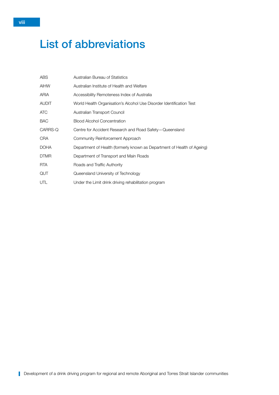# <span id="page-7-0"></span>List of abbreviations

| ABS          | Australian Bureau of Statistics                                         |
|--------------|-------------------------------------------------------------------------|
| <b>AIHW</b>  | Australian Institute of Health and Welfare                              |
| ARIA         | Accessibility Remoteness Index of Australia                             |
| <b>AUDIT</b> | World Health Organisation's Alcohol Use Disorder Identification Test    |
| ATC          | Australian Transport Council                                            |
| <b>BAC</b>   | <b>Blood Alcohol Concentration</b>                                      |
| CARRS-Q      | Centre for Accident Research and Road Safety-Queensland                 |
| <b>CRA</b>   | Community Reinforcement Approach                                        |
| <b>DOHA</b>  | Department of Health (formerly known as Department of Health of Ageing) |
| <b>DTMR</b>  | Department of Transport and Main Roads                                  |
| <b>RTA</b>   | Roads and Traffic Authority                                             |
| QUT          | Queensland University of Technology                                     |
| UTL          | Under the Limit drink driving rehabilitation program                    |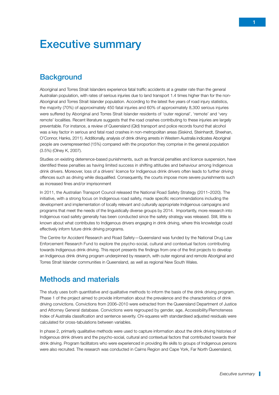# <span id="page-8-0"></span>Executive summary

# **Background**

Aboriginal and Torres Strait Islanders experience fatal traffic accidents at a greater rate than the general Australian population, with rates of serious injuries due to land transport 1.4 times higher than for the non-Aboriginal and Torres Strait Islander population. According to the latest five years of road injury statistics, the majority (70%) of approximately 450 fatal injuries and 60% of approximately 8,300 serious injuries were suffered by Aboriginal and Torres Strait Islander residents of 'outer regional', 'remote' and 'very remote' localities. Recent literature suggests that the road crashes contributing to these injuries are largely preventable. For instance, a review of Queensland (Qld) transport and police records found that alcohol was a key factor in serious and fatal road crashes in non-metropolitan areas (Siskind, Steinhardt, Sheehan, O'Connor, Hanks, 2011). Additionally, analysis of drink driving arrests in Western Australia indicates Aboriginal people are overrepresented (15%) compared with the proportion they comprise in the general population (3.5%) (Olney K, 2007).

Studies on existing deterrence-based punishments, such as financial penalties and licence suspension, have identified these penalties as having limited success in shifting attitudes and behaviour among Indigenous drink drivers. Moreover, loss of a drivers' licence for Indigenous drink drivers often leads to further driving offences such as driving while disqualified. Consequently, the courts impose more severe punishments such as increased fines and/or imprisonment

In 2011, the Australian Transport Council released the National Road Safety Strategy (2011–2020). The initiative, with a strong focus on Indigenous road safety, made specific recommendations including the development and implementation of locally relevant and culturally appropriate Indigenous campaigns and programs that meet the needs of the linguistically diverse groups by 2014. Importantly, more research into Indigenous road safety generally has been conducted since the safety strategy was released. Still, little is known about what contributes to Indigenous drivers engaging in drink driving, where this knowledge could effectively inform future drink driving programs.

The Centre for Accident Research and Road Safety—Queensland was funded by the National Drug Law Enforcement Research Fund to explore the psycho-social, cultural and contextual factors contributing towards Indigenous drink driving. This report presents the findings from one of the first projects to develop an Indigenous drink driving program underpinned by research, with outer regional and remote Aboriginal and Torres Strait Islander communities in Queensland, as well as regional New South Wales.

# Methods and materials

The study uses both quantitative and qualitative methods to inform the basis of the drink driving program. Phase 1 of the project aimed to provide information about the prevalence and the characteristics of drink driving convictions. Convictions from 2006–2010 were extracted from the Queensland Department of Justice and Attorney General database. Convictions were regrouped by gender, age, Accessibility/Remoteness Index of Australia classification and sentence severity. Chi-squares with standardised adjusted residuals were calculated for cross-tabulations between variables.

In phase 2, primarily qualitative methods were used to capture information about the drink driving histories of Indigenous drink drivers and the psycho-social, cultural and contextual factors that contributed towards their drink driving. Program facilitators who were experienced in providing life skills to groups of Indigenous persons were also recruited. The research was conducted in Cairns Region and Cape York, Far North Queensland,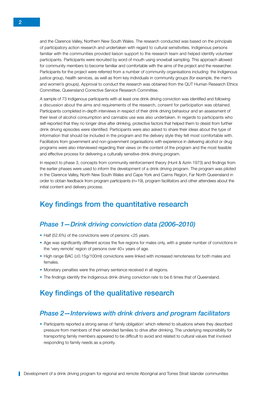<span id="page-9-0"></span>and the Clarence Valley, Northern New South Wales. The research conducted was based on the principals of participatory action research and undertaken with regard to cultural sensitivities. Indigenous persons familiar with the communities provided liaison support to the research team and helped identify volunteer participants. Participants were recruited by word of mouth using snowball sampling. This approach allowed for community members to become familiar and comfortable with the aims of the project and the researcher. Participants for the project were referred from a number of community organisations including: the Indigenous justice group, health services, as well as from key individuals in community groups (for example, the men's and women's groups). Approval to conduct the research was obtained from the QUT Human Research Ethics Committee, Queensland Corrective Service Research Committee.

A sample of 73 Indigenous participants with at least one drink driving conviction was identified and following a discussion about the aims and requirements of the research, consent for participation was obtained. Participants completed in-depth interviews in respect of their drink driving behaviour and an assessment of their level of alcohol consumption and cannabis use was also undertaken. In regards to participants who self-reported that they no longer drive after drinking, protective factors that helped them to desist from further drink driving episodes were identified. Participants were also asked to share their ideas about the type of information that should be included in the program and the delivery style they felt most comfortable with. Facilitators from government and non-government organisations with experience in delivering alcohol or drug programs were also interviewed regarding their views on the content of the program and the most feasible and effective process for delivering a culturally sensitive drink driving program.

In respect to phase 3, concepts from community reinforcement theory (Hunt & Azrin 1973) and findings from the earlier phases were used to inform the development of a drink driving program. The program was piloted in the Clarence Valley, North New South Wales and Cape York and Cairns Region, Far North Queensland in order to obtain feedback from program participants (n=19), program facilitators and other attendees about the initial content and delivery process.

# Key findings from the quantitative research

#### *Phase 1—Drink driving conviction data (2006–2010)*

- Half (52.6%) of the convictions were of persons <25 years.
- Age was significantly different across the five regions for males only, with a greater number of convictions in the 'very remote' region of persons over 40+ years of age.
- High range BAC (≥0.15g/100ml) convictions were linked with increased remoteness for both males and females.
- Monetary penalties were the primary sentence received in all regions.
- The findings identify the Indigenous drink driving conviction rate to be 6 times that of Queensland.

# Key findings of the qualitative research

#### *Phase 2—Interviews with drink drivers and program facilitators*

• Participants reported a strong sense of 'family obligation' which referred to situations where they described pressure from members of their extended families to drive after drinking. The underlying responsibility for transporting family members appeared to be difficult to avoid and related to cultural values that involved responding to family needs as a priority.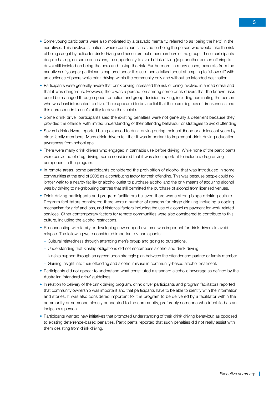- Some young participants were also motivated by a bravado mentality, referred to as 'being the hero' in the narratives. This involved situations where participants insisted on being the person who would take the risk of being caught by police for drink driving and hence protect other members of the group. These participants despite having, on some occasions, the opportunity to avoid drink driving (e.g. another person offering to drive) still insisted on being the hero and taking the risk. Furthermore, in many cases, excerpts from the narratives of younger participants captured under this sub-theme talked about attempting to "show off" with an audience of peers while drink driving within the community only and without an intended destination.
- Participants were generally aware that drink driving increased the risk of being involved in a road crash and that it was dangerous. However, there was a perception among some drink drivers that the known risks could be managed through speed reduction and group decision making, including nominating the person who was least intoxicated to drive. There appeared to be a belief that there are degrees of drunkenness and this corresponds to one's ability to drive the vehicle.
- Some drink driver participants said the existing penalties were not generally a deterrent because they provided the offender with limited understanding of their offending behaviour or strategies to avoid offending.
- Several drink drivers reported being exposed to drink driving during their childhood or adolescent years by older family members. Many drink drivers felt that it was important to implement drink driving education awareness from school age.
- There were many drink drivers who engaged in cannabis use before driving. While none of the participants were convicted of drug driving, some considered that it was also important to include a drug driving component in the program.
- In remote areas, some participants considered the prohibition of alcohol that was introduced in some communities at the end of 2008 as a contributing factor for their offending. This was because people could no longer walk to a nearby facility or alcohol outlet to purchase alcohol and the only means of acquiring alcohol was by driving to neighbouring centres that still permitted the purchase of alcohol from licensed venues.
- Drink driving participants and program facilitators believed there was a strong binge drinking culture. Program facilitators considered there were a number of reasons for binge drinking including a coping mechanism for grief and loss, and historical factors including the use of alcohol as payment for work-related services. Other contemporary factors for remote communities were also considered to contribute to this culture, including the alcohol restrictions.
- Re-connecting with family or developing new support systems was important for drink drivers to avoid relapse. The following were considered important by participants:
	- Cultural relatedness through attending men's group and going to outstations.
	- Understanding that kinship obligations did not encompass alcohol and drink driving.
	- Kinship support through an agreed upon strategic plan between the offender and partner or family member. – Gaining insight into their offending and alcohol misuse in community-based alcohol treatment.
- Participants did not appear to understand what constituted a standard alcoholic beverage as defined by the Australian 'standard drink' guidelines.
- In relation to delivery of the drink driving program, drink driver participants and program facilitators reported that community ownership was important and that participants have to be able to identify with the information and stories. It was also considered important for the program to be delivered by a facilitator within the community or someone closely connected to the community, preferably someone who identified as an Indigenous person.
- Participants wanted new initiatives that promoted understanding of their drink driving behaviour, as opposed to existing deterrence-based penalties. Participants reported that such penalties did not really assist with them desisting from drink driving.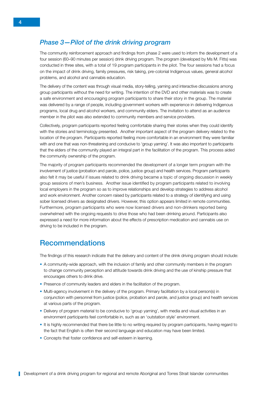#### <span id="page-11-0"></span>*Phase 3—Pilot of the drink driving program*

The community reinforcement approach and findings from phase 2 were used to inform the development of a four session (60–90 minutes per session) drink driving program. The program (developed by Ms M. Fitts) was conducted in three sites, with a total of 19 program participants in the pilot. The four sessions had a focus on the impact of drink driving, family pressures, risk taking, pre-colonial Indigenous values, general alcohol problems, and alcohol and cannabis education.

The delivery of the content was through visual media, story-telling, yarning and interactive discussions among group participants without the need for writing. The intention of the DVD and other materials was to create a safe environment and encouraging program participants to share their story in the group. The material was delivered by a range of people, including government workers with experience in delivering Indigenous programs, local drug and alcohol workers, and community elders. The invitation to attend as an audience member in the pilot was also extended to community members and service providers.

Collectively, program participants reported feeling comfortable sharing their stories when they could identify with the stories and terminology presented. Another important aspect of the program delivery related to the location of the program. Participants reported feeling more comfortable in an environment they were familiar with and one that was non-threatening and conducive to 'group yarning'. It was also important to participants that the elders of the community played an integral part in the facilitation of the program. This process aided the community ownership of the program.

The majority of program participants recommended the development of a longer term program with the involvement of justice (probation and parole, police, justice group) and health services. Program participants also felt it may be useful if issues related to drink driving became a topic of ongoing discussion in weekly group sessions of men's business. Another issue identified by program participants related to involving local employers in the program so as to improve relationships and develop strategies to address alcohol and work environment. Another concern raised by participants related to a strategy of identifying and using sober licensed drivers as designated drivers. However, this option appears limited in remote communities. Furthermore, program participants who were now licensed drivers and non-drinkers reported being overwhelmed with the ongoing requests to drive those who had been drinking around. Participants also expressed a need for more information about the effects of prescription medication and cannabis use on driving to be included in the program.

# Recommendations

The findings of this research indicate that the delivery and content of the drink driving program should include:

- A community-wide approach, with the inclusion of family and other community members in the program to change community perception and attitude towards drink driving and the use of kinship pressure that encourages others to drink drive.
- Presence of community leaders and elders in the facilitation of the program.
- Multi-agency involvement in the delivery of the program. Primary facilitation by a local person(s) in conjunction with personnel from justice (police, probation and parole, and justice group) and health services at various parts of the program.
- Delivery of program material to be conducive to 'group yarning', with media and visual activities in an environment participants feel comfortable in, such as an 'outstation style' environment.
- It is highly recommended that there be little to no writing required by program participants, having regard to the fact that English is often their second language and education may have been limited.
- Concepts that foster confidence and self-esteem in learning.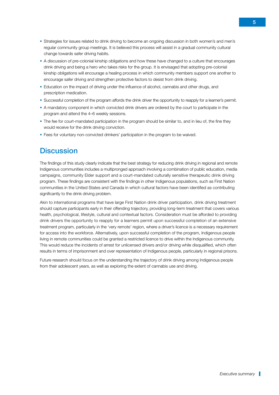- <span id="page-12-0"></span>• Strategies for issues related to drink driving to become an ongoing discussion in both women's and men's regular community group meetings. It is believed this process will assist in a gradual community cultural change towards safer driving habits.
- A discussion of pre-colonial kinship obligations and how these have changed to a culture that encourages drink driving and being a hero who takes risks for the group. It is envisaged that adopting pre-colonial kinship obligations will encourage a healing process in which community members support one another to encourage safer driving and strengthen protective factors to desist from drink driving.
- Education on the impact of driving under the influence of alcohol, cannabis and other drugs, and prescription medication.
- Successful completion of the program affords the drink driver the opportunity to reapply for a learner's permit.
- A mandatory component in which convicted drink drivers are ordered by the court to participate in the program and attend the 4–6 weekly sessions.
- The fee for court-mandated participation in the program should be similar to, and in lieu of, the fine they would receive for the drink driving conviction.
- Fees for voluntary non-convicted drinkers' participation in the program to be waived.

## **Discussion**

The findings of this study clearly indicate that the best strategy for reducing drink driving in regional and remote Indigenous communities includes a multipronged approach involving a combination of public education, media campaigns, community Elder support and a court-mandated culturally sensitive therapeutic drink driving program. These findings are consistent with the findings in other Indigenous populations, such as First Nation communities in the United States and Canada in which cultural factors have been identified as contributing significantly to the drink driving problem.

Akin to international programs that have large First Nation drink driver participation, drink driving treatment should capture participants early in their offending trajectory, providing long-term treatment that covers various health, psychological, lifestyle, cultural and contextual factors. Consideration must be afforded to providing drink drivers the opportunity to reapply for a learners permit upon successful completion of an extensive treatment program, particularly in the 'very remote' region, where a driver's licence is a necessary requirement for access into the workforce. Alternatively, upon successful completion of the program, Indigenous people living in remote communities could be granted a restricted licence to drive within the Indigenous community. This would reduce the incidents of arrest for unlicensed drivers and/or driving while disqualified, which often results in terms of imprisonment and over representation of Indigenous people, particularly in regional prisons.

Future research should focus on the understanding the trajectory of drink driving among Indigenous people from their adolescent years, as well as exploring the extent of cannabis use and driving.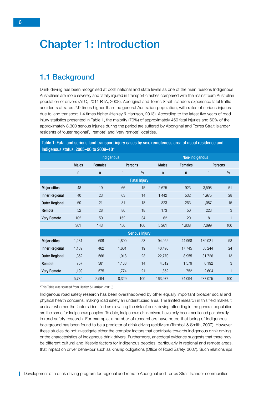# <span id="page-13-0"></span>Chapter 1: Introduction

# 1.1 Background

Drink driving has been recognised at both national and state levels as one of the main reasons Indigenous Australians are more severely and fatally injured in transport crashes compared with the mainstream Australian population of drivers (ATC, 2011 RTA, 2008). Aboriginal and Torres Strait Islanders experience fatal traffic accidents at rates 2.9 times higher than the general Australian population, with rates of serious injuries due to land transport 1.4 times higher (Henley & Harrison, 2013). According to the latest five years of road injury statistics presented in Table 1, the majority (70%) of approximately 450 fatal injuries and 60% of the approximately 8,300 serious injuries during the period are suffered by Aboriginal and Torres Strait Islander residents of 'outer regional', 'remote' and 'very remote' localities.

| Indigenous status, 2005-06 to 2009-10* |                   |                |                |                       |              |                       |                |     |
|----------------------------------------|-------------------|----------------|----------------|-----------------------|--------------|-----------------------|----------------|-----|
|                                        | <b>Indigenous</b> |                |                |                       |              | <b>Non-Indigenous</b> |                |     |
|                                        | <b>Males</b>      | <b>Females</b> | <b>Persons</b> |                       | <b>Males</b> | <b>Females</b>        | <b>Persons</b> |     |
|                                        | $\mathsf{n}$      | $\mathsf{n}$   | $\mathsf{n}$   | %                     | $\mathsf{n}$ | $\mathsf{n}$          | $\mathsf{n}$   | %   |
|                                        |                   |                |                | <b>Fatal Injury</b>   |              |                       |                |     |
| <b>Major cities</b>                    | 48                | 19             | 66             | 15                    | 2,675        | 923                   | 3,598          | 51  |
| <b>Inner Regional</b>                  | 40                | 23             | 63             | 14                    | 1,442        | 532                   | 1,975          | 28  |
| <b>Outer Regional</b>                  | 60                | 21             | 81             | 18                    | 823          | 263                   | 1,087          | 15  |
| Remote                                 | 52                | 28             | 80             | 18                    | 173          | 50                    | 223            | 3   |
| <b>Very Remote</b>                     | 102               | 50             | 152            | 34                    | 62           | 20                    | 81             | 1   |
|                                        | 301               | 143            | 450            | 100                   | 5,261        | 1,838                 | 7,099          | 100 |
|                                        |                   |                |                | <b>Serious Injury</b> |              |                       |                |     |
| <b>Major cities</b>                    | 1,281             | 609            | 1,890          | 23                    | 94,052       | 44,968                | 139,021        | 58  |
| <b>Inner Regional</b>                  | 1,139             | 462            | 1,601          | 19                    | 40,498       | 17,745                | 58,244         | 24  |
| <b>Outer Regional</b>                  | 1,352             | 566            | 1,918          | 23                    | 22,770       | 8,955                 | 31,726         | 13  |
| Remote                                 | 757               | 381            | 1,138          | 14                    | 4,612        | 1,579                 | 6,192          | 3   |
| <b>Very Remote</b>                     | 1,199             | 575            | 1,774          | 21                    | 1,852        | 752                   | 2,604          | 1   |
|                                        | 5,735             | 2,594          | 8,329          | 100                   | 163,977      | 74,094                | 237,075        | 100 |

Table 1: Fatal and serious land transport injury cases by sex, remoteness area of usual residence and

\*This Table was sourced from Henley & Harrison (2013)

Indigenous road safety research has been overshadowed by other equally important broader social and physical health concerns, making road safety an understudied area. The limited research in this field makes it unclear whether the factors identified as elevating the risk of drink driving offending in the general population are the same for Indigenous peoples. To date, Indigenous drink drivers have only been mentioned peripherally in road safety research. For example, a number of researchers have noted that being of Indigenous background has been found to be a predictor of drink driving recidivism (Trimboli & Smith, 2009). However, these studies do not investigate either the complex factors that contribute towards Indigenous drink driving or the characteristics of Indigenous drink drivers. Furthermore, anecdotal evidence suggests that there may be different cultural and lifestyle factors for Indigenous peoples, particularly in regional and remote areas, that impact on driver behaviour such as kinship obligations (Office of Road Safety, 2007). Such relationships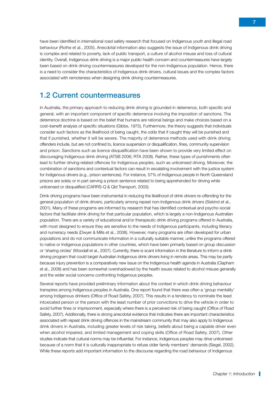<span id="page-14-0"></span>have been identified in international road safety research that focused on Indigenous youth and illegal road behaviour (Rothe et al., 2005). Anecdotal information also suggests the issue of Indigenous drink driving is complex and related to poverty, lack of public transport, a culture of alcohol misuse and loss of cultural identity. Overall, Indigenous drink driving is a major public health concern and countermeasures have largely been based on drink driving countermeasures developed for the non-Indigenous population. Hence, there is a need to consider the characteristics of Indigenous drink drivers, cultural issues and the complex factors associated with remoteness when designing drink driving countermeasures.

## 1.2 Current countermeasures

In Australia, the primary approach to reducing drink driving is grounded in deterrence, both specific and general, with an important component of specific deterrence involving the imposition of sanctions. The deterrence doctrine is based on the belief that humans are rational beings and make choices based on a cost–benefit analysis of specific situations (Gibbs, 1975). Furthermore, the theory suggests that individuals consider such factors as the likelihood of being caught, the odds that if caught they will be punished and that if punished, whether it will be severe. The majority of deterrence methods used with drink driving offenders include, but are not confined to, licence suspension or disqualification, fines, community supervision and prison. Sanctions such as licence disqualification have been shown to provide very limited effect on discouraging Indigenous drink driving (ATSB 2006; RTA 2008). Rather, these types of punishments often lead to further driving-related offences for Indigenous peoples, such as unlicensed driving. Moreover, the combination of sanctions and contextual factors can result in escalating involvement with the justice system for Indigenous drivers (e.g., prison sentences). For instance, 57% of Indigenous people in North Queensland prisons are solely or in part serving a prison sentence related to being apprehended for driving while unlicensed or disqualified (CARRS-Q & Qld Transport, 2003).

Drink driving programs have been instrumental in reducing the likelihood of drink drivers re-offending for the general population of drink drivers, particularly among repeat non-Indigenous drink drivers (Siskind et al., 2001). Many of these programs are informed by research that has identified contextual and psycho-social factors that facilitate drink driving for that particular population, which is largely a non-Indigenous Australian population. There are a variety of educational and/or therapeutic drink driving programs offered in Australia, with most designed to ensure they are sensitive to the needs of Indigenous participants, including literacy and numeracy needs (Dwyer & Mills et al., 2008). However, many programs are often developed for urban populations and do not communicate information in a culturally suitable manner, unlike the programs offered to native or Indigenous populations in other countries, which have been primarily based on group discussion or 'sharing circles' (Woodall et al., 2007). Currently, there is scant information in the literature to inform a drink driving program that could target Australian Indigenous drink drivers living in remote areas. This may be partly because injury prevention is a comparatively new issue on the Indigenous health agenda in Australia (Clapham et al., 2008) and has been somewhat overshadowed by the health issues related to alcohol misuse generally and the wider social concerns confronting Indigenous peoples.

Several reports have provided preliminary information about the context in which drink driving behaviour transpires among Indigenous peoples in Australia. One report found that there was often a 'group mentality' among Indigenous drinkers (Office of Road Safety, 2007). This results in a tendency to nominate the least intoxicated person or the person with the least number of prior convictions to drive the vehicle in order to avoid further fines or imprisonment, especially where there is a perceived risk of being caught (Office of Road Safety, 2007). Additionally, there is strong anecdotal evidence that indicates there are important characteristics associated with repeat drink driving offences in the mainstream community that may also apply to Indigenous drink drivers in Australia, including greater levels of risk taking, beliefs about being a capable driver even when alcohol impaired, and limited management and coping skills (Office of Road Safety, 2007). Other studies indicate that cultural norms may be influential. For instance, Indigenous peoples may drive unlicensed because of a norm that it is culturally inappropriate to refuse older family members' demands (Siegel, 2002). While these reports add important information to the discourse regarding the road behaviour of Indigenous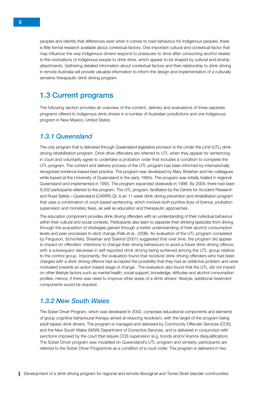<span id="page-15-0"></span>peoples and identify that differences exist when it comes to road behaviour for Indigenous peoples, there is little formal research available about contextual factors. One important cultural and contextual factor that may influence the way Indigenous drivers respond to pressures to drive after consuming alcohol relates to the motivations of Indigenous people to drink drive, which appear to be shaped by cultural and kinship attachments. Gathering detailed information about contextual factors and their relationship to drink driving in remote Australia will provide valuable information to inform the design and implementation of a culturally sensitive therapeutic drink driving program.

## 1.3 Current programs

The following section provides an overview of the content, delivery and evaluations of three separate programs offered to Indigenous drink drivers in a number of Australian jurisdictions and one Indigenous program in New Mexico, United States.

#### *1.3.1 Queensland*

The only program that is delivered through Queensland legislative provision is the *Under the Limit* (UTL) drink driving rehabilitation program. Drink drive offenders are referred to UTL when they appear for sentencing in court and voluntarily agree to undertake a probation order that includes a condition to complete the UTL program. The content and delivery process of the UTL program has been informed by internationally recognised evidence-based best practice. The program was developed by Mary Sheehan and her colleagues while based at the University of Queensland in the early 1990s. The program was initially trialled in regional Queensland and implemented in 1993. The program expanded statewide in 1998. By 2009, there had been 8,500 participants referred to the program. The UTL program, facilitated by the Centre for Accident Research and Road Safety—Queensland (CARRS-Q), is an 11 week drink driving prevention and rehabilitation program that uses a combination of court-based sentencing, which involves both punitive (loss of licence, probation supervision and monetary fees), as well as education and therapeutic approaches.

The education component provides drink driving offenders with an understanding of their individual behaviour within their cultural and social contexts. Participants also learn to separate their drinking episodes from driving through the acquisition of strategies gained through a better understanding of their alcohol consumption levels and peer processes to elicit change (Palk et al., 2006). An evaluation of the UTL program completed by Ferguson, Schonfeld, Sheehan and Siskind (2001) suggested that over time, the program did appear to impact on offenders' intentions to change their driving behaviours to avoid a future drink driving offence, with a subsequent decrease in self-reported drink driving being achieved among the UTL group relative to the control group. Importantly, the evaluation found that recidivist drink driving offenders who had been charged with a drink driving offence had accepted the possibility that they had an addictive problem and were motivated towards an action-based stage of change. The evaluation also found that the UTL did not impact on other lifestyle factors such as mental health, social support, knowledge, attitudes and alcohol consumption profiles. Hence, if there was need to improve other areas of a drink drivers' lifestyle, additional treatment components would be required.

#### *1.3.2 New South Wales*

The Sober Driver Program, which was developed in 2002, comprises educational components and elements of group cognitive behavioural therapy aimed at reducing recidivism, with the target of the program being adult repeat drink drivers. The program is managed and delivered by Community Offender Services (COS) and the New South Wales (NSW) Department of Corrective Services, and is delivered in conjunction with sanctions imposed by the court that require COS supervision (e.g. bonds and/or licence disqualification). The Sober Driver program was modelled on Queensland's UTL program and similarly, participants are referred to the Sober Driver Programme as a condition of a court order. The program is delivered in two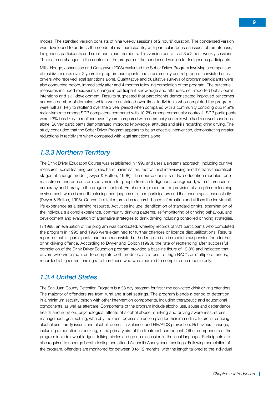modes. The standard version consists of nine weekly sessions of 2 hours' duration. The condensed version was developed to address the needs of rural participants, with particular focus on issues of remoteness, Indigenous participants and small participant numbers. This version consists of 3 x 2 hour weekly sessions. There are no changes to the content of the program of the condensed version for Indigenous participants.

Mills, Hodge, Johansson and Conigrave (2008) evaluated the Sober Driver Program involving a comparison of recidivism rates over 2 years for program participants and a community control group of convicted drink drivers who received legal sanctions alone. Quantitative and qualitative surveys of program participants were also conducted before, immediately after and 4 months following completion of the program. The outcome measures included recidivism, change in participant knowledge and attitudes, self-reported behavioural intentions and skill development. Results suggested that participants demonstrated improved outcomes across a number of domains, which were sustained over time. Individuals who completed the program were half as likely to reoffend over the 2 year period when compared with a community control group (4.9% recidivism rate among SDP completers compared with 10.2% among community controls). SDP participants were 43% less likely to reoffend over 2 years compared with community controls who had received sanctions alone. Survey participants demonstrated improved knowledge, attitudes and skills regarding drink driving. The study concluded that the Sober Driver Program appears to be an effective intervention, demonstrating greater reductions in recidivism when compared with legal sanctions alone.

#### *1.3.3 Northern Territory*

The Drink Driver Education Course was established in 1995 and uses a systems approach, including punitive measures, social learning principles, harm minimisation, motivational interviewing and the trans-theoretical stages of change model (Dwyer & Bolton, 1998). The course consists of two education modules, one mainstream and one customised version for people from an Indigenous background, with differences in numeracy and literacy in the program content. Emphasis is placed on the provision of an optimum learning environment, which is non-threatening, non-judgemental, and participatory and that encourages responsibility (Dwyer & Bolton, 1998). Course facilitation provides research-based information and utilises the individual's life experience as a learning resource. Activities include identification of standard drinks, examination of the individual's alcohol experience, community drinking patterns, self-monitoring of drinking behaviour, and development and evaluation of alternative strategies to drink driving including controlled drinking strategies.

In 1998, an evaluation of the program was conducted, whereby records of 321 participants who completed the program in 1995 and 1996 were examined for further offences or licence disqualifications. Results reported that 41 participants had been reconvicted or had received an immediate suspension for a further drink driving offence. According to Dwyer and Bolton (1998), the rate of reoffending after successful completion of the Drink Driver Education program provided a baseline figure of 12.8% and indicated that drivers who were required to complete both modules, as a result of high BAC's or multiple offences, recorded a higher reoffending rate than those who were required to complete one module only.

#### *1.3.4 United States*

The San Juan County Detention Program is a 28 day program for first-time convicted drink driving offenders. The majority of offenders are from rural and tribal settings. The program blends a period of detention in a minimum security prison with other intervention components, including therapeutic and educational components, as well as aftercare. Components of the program include alcohol use, abuse and dependence; health and nutrition; psychological effects of alcohol abuse; drinking and driving awareness; stress management; goal-setting, whereby the client devises an action plan for their immediate future in reducing alcohol use; family issues and alcohol; domestic violence; and HIV/AIDS prevention. Behavioural change, including a reduction in drinking, is the primary aim of the treatment component. Other components of the program include sweat lodges, talking circles and group discussion in the local language. Participants are also required to undergo breath testing and attend Alcoholic Anonymous meetings. Following completion of the program, offenders are monitored for between 3 to 12 months, with the length tailored to the individual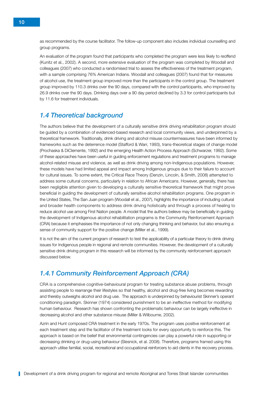as recommended by the course facilitator. The follow-up component also includes individual counselling and group programs.

An evaluation of the program found that participants who completed the program were less likely to reoffend (Kunitz et al., 2002). A second, more extensive evaluation of the program was completed by Woodall and colleagues (2007) who conducted a randomised trial to assess the effectiveness of the treatment program, with a sample comprising 76% American Indians. Woodall and colleagues (2007) found that for measures of alcohol use, the treatment group improved more than the participants in the control group. The treatment group improved by 110.3 drinks over the 90 days, compared with the control participants, who improved by 26.9 drinks over the 90 days. Drinking days over a 90 day period declined by 3.3 for control participants but by 11.6 for treatment individuals.

#### *1.4 Theoretical background*

The authors believe that the development of a culturally sensitive drink driving rehabilitation program should be guided by a combination of evidenced-based research and local community views, and underpinned by a theoretical framework. Traditionally, drink driving and alcohol misuse countermeasures have been informed by frameworks such as the deterrence model (Stafford & Warr, 1993), trans-theoretical stages of change model (Prochaska & DiClemente, 1992) and the emerging Health Action Process Approach (Schwarzer, 1992). Some of these approaches have been useful in guiding enforcement regulations and treatment programs to manage alcohol-related misuse and violence, as well as drink driving among non-Indigenous populations. However, these models have had limited appeal and impact among Indigenous groups due to their failure to account for cultural issues. To some extent, the Critical Race Theory (Denzin, Lincoln, & Smith, 2008) attempted to address some cultural concerns, particularly in relation to African Americans. However, generally, there has been negligible attention given to developing a culturally sensitive theoretical framework that might prove beneficial in guiding the development of culturally sensitive alcohol rehabilitation programs. One program in the United States, The San Juan program (Woodall et al., 2007), highlights the importance of including cultural and broader health components to address drink driving holistically and through a process of healing to reduce alcohol use among First Nation people. A model that the authors believe may be beneficially in guiding the development of Indigenous alcohol rehabilitation programs is the Community Reinforcement Approach (CRA) because it emphasises the importance of not only changing thinking and behavior, but also ensuring a sense of community support for the positive change (Miller et al., 1999).

It is not the aim of the current program of research to test the applicability of a particular theory to drink driving issues for Indigenous people in regional and remote communities. However, the development of a culturally sensitive drink driving program in this research will be informed by the community reinforcement approach discussed below.

#### *1.4.1 Community Reinforcement Approach (CRA)*

CRA is a comprehensive cognitive-behavioural program for treating substance abuse problems, through assisting people to rearrange their lifestyles so that healthy, alcohol and drug-free living becomes rewarding and thereby outweighs alcohol and drug use. The approach is underpinned by behaviourist Skinner's operant conditioning paradigm. Skinner (1974) considered punishment to be an ineffective method for modifying human behaviour. Research has shown confronting the problematic behaviour can be largely ineffective in decreasing alcohol and other substance misuse (Miller & Wilbourne, 2002).

Azrin and Hunt composed CRA treatment in the early 1970s. The program uses positive reinforcement at each treatment step and the facilitator of the treatment looks for every opportunity to reinforce this. The approach is based on the belief that environmental contingencies can play a powerful role in supporting or decreasing drinking or drug-using behaviour (Slesnick, et al. 2008). Therefore, programs framed using this approach utilise familial, social, recreational and occupational reinforcers to aid clients in the recovery process.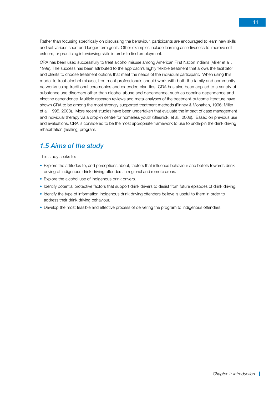Rather than focusing specifically on discussing the behaviour, participants are encouraged to learn new skills and set various short and longer term goals. Other examples include learning assertiveness to improve selfesteem, or practicing interviewing skills in order to find employment.

CRA has been used successfully to treat alcohol misuse among American First Nation Indians (Miller et al., 1999). The success has been attributed to the approach's highly flexible treatment that allows the facilitator and clients to choose treatment options that meet the needs of the individual participant. When using this model to treat alcohol misuse, treatment professionals should work with both the family and community networks using traditional ceremonies and extended clan ties. CRA has also been applied to a variety of substance use disorders other than alcohol abuse and dependence, such as cocaine dependence and nicotine dependence. Multiple research reviews and meta-analyses of the treatment-outcome literature have shown CRA to be among the most strongly supported treatment methods (Finney & Monahan, 1996; Miller et al. 1995, 2003). More recent studies have been undertaken that evaluate the impact of case management and individual therapy via a drop-in centre for homeless youth (Slesnick, et al., 2008). Based on previous use and evaluations, CRA is considered to be the most appropriate framework to use to underpin the drink driving rehabilitation (healing) program.

## *1.5 Aims of the study*

This study seeks to:

- Explore the attitudes to, and perceptions about, factors that influence behaviour and beliefs towards drink driving of Indigenous drink driving offenders in regional and remote areas.
- Explore the alcohol use of Indigenous drink drivers.
- Identify potential protective factors that support drink drivers to desist from future episodes of drink driving.
- Identify the type of information Indigenous drink driving offenders believe is useful to them in order to address their drink driving behaviour.
- Develop the most feasible and effective process of delivering the program to Indigenous offenders.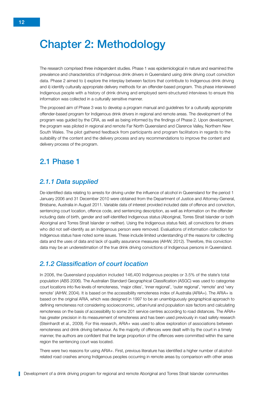# <span id="page-19-0"></span>Chapter 2: Methodology

The research comprised three independent studies. Phase 1 was epidemiological in nature and examined the prevalence and characteristics of Indigenous drink drivers in Queensland using drink driving court conviction data. Phase 2 aimed to i) explore the interplay between factors that contribute to Indigenous drink driving and ii) identify culturally appropriate delivery methods for an offender-based program. This phase interviewed Indigenous people with a history of drink driving and employed semi-structured interviews to ensure this information was collected in a culturally sensitive manner.

The proposed aim of Phase 3 was to develop a program manual and guidelines for a culturally appropriate offender-based program for Indigenous drink drivers in regional and remote areas. The development of the program was guided by the CRA, as well as being informed by the findings of Phase 2. Upon development, the program was piloted in regional and remote Far North Queensland and Clarence Valley, Northern New South Wales. The pilot gathered feedback from participants and program facilitators in regards to the suitability of the content and the delivery process and any recommendations to improve the content and delivery process of the program.

# 2.1 Phase 1

#### *2.1.1 Data supplied*

De-identified data relating to arrests for driving under the influence of alcohol in Queensland for the period 1 January 2006 and 31 December 2010 were obtained from the Department of Justice and Attorney-General, Brisbane, Australia in August 2011. Variable data of interest provided included date of offence and conviction, sentencing court location, offence code, and sentencing description, as well as information on the offender including date of birth, gender and self-identified Indigenous status (Aboriginal, Torres Strait Islander or both Aboriginal and Torres Strait Islander or neither). Using the Indigenous status field, all convictions for drivers who did not self-identify as an Indigenous person were removed. Evaluations of information collection for Indigenous status have noted some issues. These include limited understanding of the reasons for collecting data and the uses of data and lack of quality assurance measures (AIHW, 2012). Therefore, this conviction data may be an underestimation of the true drink driving convictions of Indigenous persons in Queensland.

#### *2.1.2 Classification of court location*

In 2006, the Queensland population included 146,400 Indigenous peoples or 3.5% of the state's total population (ABS 2006). The Australian Standard Geographical Classification (ASGC) was used to categorise court locations into five levels of remoteness, 'major cities', 'inner regional', 'outer regional', 'remote' and 'very remote' (AIHW, 2004). It is based on the accessibility remoteness index of Australia (ARIA+). The ARIA+ is based on the original ARIA, which was designed in 1997 to be an unambiguously geographical approach to defining remoteness not considering socioeconomic, urban/rural and population size factors and calculating remoteness on the basis of accessibility to some 201 service centres according to road distances. The ARIA+ has greater precision in its measurement of remoteness and has been used previously in road safety research (Steinhardt et al., 2009). For this research, ARIA+ was used to allow exploration of associations between remoteness and drink driving behaviour. As the majority of offences were dealt with by the court in a timely manner, the authors are confident that the large proportion of the offences were committed within the same region the sentencing court was located.

There were two reasons for using ARIA+. First, previous literature has identified a higher number of alcoholrelated road crashes among Indigenous peoples occurring in remote areas by comparison with other areas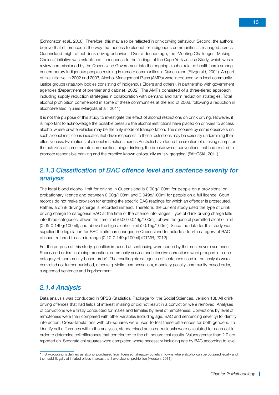(Edmonston et al., 2008). Therefore, this may also be reflected in drink driving behaviour. Second, the authors believe that differences in the way that access to alcohol for Indigenous communities is managed across Queensland might affect drink driving behaviour. Over a decade ago, the 'Meeting Challenges, Making Choices' initiative was established, in response to the findings of the Cape York Justice Study, which was a review commissioned by the Queensland Government into the ongoing alcohol-related health harm among contemporary Indigenous peoples residing in remote communities in Queensland (Fitzgerald, 2001). As part of this initiative, in 2002 and 2003, Alcohol Management Plans (AMPs) were introduced with local community justice groups (statutory bodies consisting of Indigenous Elders and others), in partnership with government agencies (Department of premier and cabinet, 2002). The AMPs consisted of a three-tiered approach including supply reduction strategies in collaboration with demand and harm reduction strategies. Total alcohol prohibition commenced in some of these communities at the end of 2008, following a reduction in alcohol-related injuries (Margolis et al., 2011).

It is not the purpose of this study to investigate the effect of alcohol restrictions on drink driving. However, it is important to acknowledge the possible pressure the alcohol restrictions have placed on drinkers to access alcohol where private vehicles may be the only mode of transportation. The discourse by some observers on such alcohol restrictions indicates that driver responses to these restrictions may be seriously undermining their effectiveness. Evaluations of alcohol restrictions across Australia have found the creation of drinking camps on the outskirts of some remote communities, binge drinking, the breakdown of conventions that had existed to promote responsible drinking and the practice known colloquially as 'sly-grogging' (FAHCSIA, 2011).<sup>1</sup>

#### *2.1.3 Classification of BAC offence level and sentence severity for analysis*

The legal blood alcohol limit for driving in Queensland is 0.00g/100ml for people on a provisional or probationary licence and between 0.00g/100ml and 0.049g/100ml for people on a full licence. Court records do not make provision for entering the specific BAC readings for which an offender is prosecuted. Rather, a drink driving charge is recorded instead. Therefore, the current study used the type of drink driving charge to categorise BAC at the time of the offence into ranges. Type of drink driving charge falls into three categories: above the zero limit (0.00-0.049g/100ml); above the general permitted alcohol limit (0.05-0.149g/100ml); and above the high alcohol limit (≥0.15g/100ml). Since the data for this study was supplied the legislation for BAC limits has changed in Queensland to include a fourth category of BAC offence, referred to as mid-range (0.10-0.149g/100ml) (DTMR, 2012).

For the purpose of this study, penalties imposed at sentencing were coded by the most severe sentence. Supervised orders including probation, community service and intensive corrections were grouped into one category of 'community-based order'. The resulting six categories of sentences used in the analysis were convicted not further punished, other (e.g. victim compensation), monetary penalty, community-based order, suspended sentence and imprisonment.

## *2.1.4 Analysis*

Data analysis was conducted in SPSS (Statistical Package for the Social Sciences, version 18). All drink driving offences that had fields of interest missing or did not result in a conviction were removed. Analyses of convictions were firstly conducted for males and females by level of remoteness. Convictions by level of remoteness were then compared with other variables (including age, BAC and sentencing severity) to identify interaction. Cross-tabulations with chi-squares were used to test these differences for both genders. To identify cell differences within the analyses, standardised adjusted residuals were calculated for each cell in order to determine cell differences that contributed to the chi-square test results. Values greater than 2.0 are reported on. Separate chi-squares were completed where necessary including age by BAC according to level

<sup>1</sup> Sly-grogging is defined as alcohol purchased from licensed takeaway outlets in towns where alcohol can be obtained legally and then sold illegally at inflated prices in areas that have alcohol prohibition (Hudson, 2011).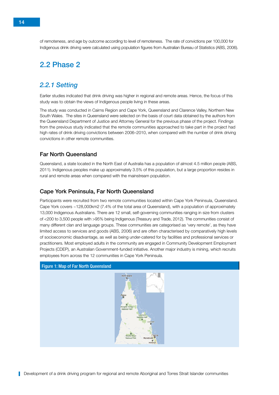<span id="page-21-0"></span>of remoteness, and age by outcome according to level of remoteness. The rate of convictions per 100,000 for Indigenous drink driving were calculated using population figures from Australian Bureau of Statistics (ABS, 2006).

# 2.2 Phase 2

#### *2.2.1 Setting*

Earlier studies indicated that drink driving was higher in regional and remote areas. Hence, the focus of this study was to obtain the views of Indigenous people living in these areas.

The study was conducted in Cairns Region and Cape York, Queensland and Clarence Valley, Northern New South Wales. The sites in Queensland were selected on the basis of court data obtained by the authors from the Queensland Department of Justice and Attorney General for the previous phase of the project. Findings from the previous study indicated that the remote communities approached to take part in the project had high rates of drink driving convictions between 2006–2010, when compared with the number of drink driving convictions in other remote communities.

#### Far North Queensland

Queensland, a state located in the North East of Australia has a population of almost 4.5 million people (ABS, 2011). Indigenous peoples make up approximately 3.5% of this population, but a large proportion resides in rural and remote areas when compared with the mainstream population.

#### Cape York Peninsula, Far North Queensland

Participants were recruited from two remote communities located within Cape York Peninsula, Queensland. Cape York covers ~128,000km2 (7.4% of the total area of Queensland), with a population of approximately 13,000 Indigenous Australians. There are 12 small, self-governing communities ranging in size from clusters of <200 to 3,500 people with >95% being Indigenous (Treasury and Trade, 2012). The communities consist of many different clan and language groups. These communities are categorised as 'very remote', as they have limited access to services and goods (ABS, 2006) and are often characterised by comparatively high levels of socioeconomic disadvantage, as well as being under-catered for by facilities and professional services or practitioners. Most employed adults in the community are engaged in Community Development Employment Projects (CDEP), an Australian Government-funded initiative. Another major industry is mining, which recruits employees from across the 12 communities in Cape York Peninsula.

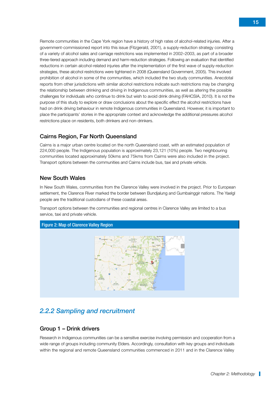<span id="page-22-0"></span>Remote communities in the Cape York region have a history of high rates of alcohol-related injuries. After a government-commissioned report into this issue (Fitzgerald, 2001), a supply-reduction strategy consisting of a variety of alcohol sales and carriage restrictions was implemented in 2002–2003, as part of a broader three-tiered approach including demand and harm-reduction strategies. Following an evaluation that identified reductions in certain alcohol-related injuries after the implementation of the first wave of supply-reduction strategies, these alcohol restrictions were tightened in 2008 (Queensland Government, 2005). This involved prohibition of alcohol in some of the communities, which included the two study communities. Anecdotal reports from other jurisdictions with similar alcohol restrictions indicate such restrictions may be changing the relationship between drinking and driving in Indigenous communities, as well as altering the possible challenges for individuals who continue to drink but wish to avoid drink driving (FAHCSIA, 2010). It is not the purpose of this study to explore or draw conclusions about the specific effect the alcohol restrictions have had on drink driving behaviour in remote Indigenous communities in Queensland. However, it is important to place the participants' stories in the appropriate context and acknowledge the additional pressures alcohol restrictions place on residents, both drinkers and non-drinkers.

#### Cairns Region, Far North Queensland

Cairns is a major urban centre located on the north Queensland coast, with an estimated population of 224,000 people. The Indigenous population is approximately 23,121 (10%) people. Two neighbouring communities located approximately 50kms and 75kms from Cairns were also included in the project. Transport options between the communities and Cairns include bus, taxi and private vehicle.

#### New South Wales

In New South Wales, communities from the Clarence Valley were involved in the project. Prior to European settlement, the Clarence River marked the border between Bundjalung and Gumbainggir nations. The Yaelgl people are the traditional custodians of these coastal areas.

Transport options between the communities and regional centres in Clarence Valley are limited to a bus service, taxi and private vehicle.



#### *2.2.2 Sampling and recruitment*

#### Group 1 – Drink drivers

Research in Indigenous communities can be a sensitive exercise involving permission and cooperation from a wide range of groups including community Elders. Accordingly, consultation with key groups and individuals within the regional and remote Queensland communities commenced in 2011 and in the Clarence Valley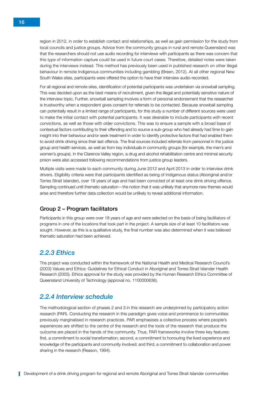region in 2012, in order to establish contact and relationships, as well as gain permission for the study from local councils and justice groups. Advice from the community groups in rural and remote Queensland was that the researchers should not use audio recording for interviews with participants as there was concern that this type of information capture could be used in future court cases. Therefore, detailed notes were taken during the interviews instead. This method has previously been used in published research on other illegal behaviour in remote Indigenous communities including gambling (Breen, 2012). At all other regional New South Wales sites, participants were offered the option to have their interview audio-recorded.

For all regional and remote sites, identification of potential participants was undertaken via snowball sampling. This was decided upon as the best means of recruitment, given the illegal and potentially sensitive nature of the interview topic, Further, snowball sampling involves a form of personal endorsement that the researcher is trustworthy when a respondent gives consent for referrals to be contacted. Because snowball sampling can potentially result in a limited range of participants, for this study a number of different sources were used to make the initial contact with potential participants. It was desirable to include participants with recent convictions, as well as those with older convictions. This was to ensure a sample with a broad base of contextual factors contributing to their offending and to source a sub-group who had already had time to gain insight into their behaviour and/or seek treatment in order to identify protective factors that had enabled them to avoid drink driving since their last offence. The final sources included referrals from personnel in the justice group and health services, as well as from key individuals in community groups (for example, the men's and women's groups). In the Clarence Valley region, a drug and alcohol rehabilitation centre and minimal security prison were also accessed following recommendations from justice group leaders.

Multiple visits were made to each community during June 2012 and April 2013 in order to interview drink drivers. Eligibility criteria were that participants identified as being of Indigenous status (Aboriginal and/or Torres Strait Islander), over 18 years of age and had been convicted of at least one drink driving offence. Sampling continued until thematic saturation—the notion that it was unlikely that anymore new themes would arise and therefore further data collection would be unlikely to reveal additional information.

#### Group 2 – Program facilitators

Participants in this group were over 18 years of age and were selected on the basis of being facilitators of programs in one of the locations that took part in the project. A sample size of at least 10 facilitators was sought. However, as this is a qualitative study, the final number was also determined when it was believed thematic saturation had been achieved.

#### *2.2.3 Ethics*

The project was conducted within the framework of the National Health and Medical Research Council's (2003) Values and Ethics: Guidelines for Ethical Conduct in Aboriginal and Torres Strait Islander Health Research (2003). Ethics approval for the study was provided by the Human Research Ethics Committee of Queensland University of Technology (approval no. 1100000636).

#### *2.2.4 Interview schedule*

The methodological section of phases 2 and 3 in this research are underpinned by participatory action research (PAR). Conducting the research in this paradigm gives voice and prominence to communities previously marginalised in research practices. PAR emphasises a collective process where people's experiences are shifted to the centre of the research and the tools of the research that produce the outcome are placed in the hands of the community. Thus, PAR frameworks involve three key features: first, a commitment to social transformation; second, a commitment to honouring the lived experience and knowledge of the participants and community involved; and third, a commitment to collaboration and power sharing in the research (Reason, 1994).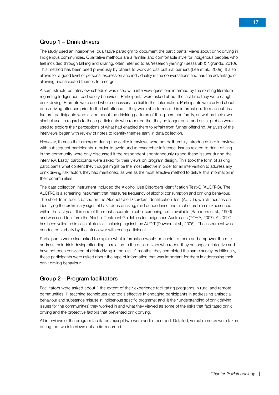#### Group 1 – Drink drivers

The study used an interpretive, qualitative paradigm to document the participants' views about drink driving in Indigenous communities. Qualitative methods are a familiar and comfortable style for Indigenous peoples who feel included through talking and sharing, often referred to as 'research yarning' (Bessarab & Ng'andu, 2010). This method has been used previously by others to work across cultural barriers (Lee et al., 2009). It also allows for a good level of personal expression and individuality in the conversations and has the advantage of allowing unanticipated themes to emerge.

A semi-structured interview schedule was used with interview questions informed by the existing literature regarding Indigenous road safety behaviour. Participants were asked about the last time they were caught drink driving. Prompts were used where necessary to elicit further information. Participants were asked about drink driving offences prior to the last offence, if they were able to recall this information. To map out risk factors, participants were asked about the drinking patterns of their peers and family, as well as their own alcohol use. In regards to those participants who reported that they no longer drink and drive, probes were used to explore their perceptions of what had enabled them to refrain from further offending. Analysis of the interviews began with review of notes to identify themes early in data collection.

However, themes that emerged during the earlier interviews were not deliberately introduced into interviews with subsequent participants in order to avoid undue researcher influence. Issues related to drink driving in the community were only discussed if the respondent spontaneously raised these issues during the interview. Lastly, participants were asked for their views on program design. This took the form of asking participants what content they thought might be the most effective in order for an intervention to address any drink driving risk factors they had mentioned, as well as the most effective method to deliver this information in their communities.

The data collection instrument included the Alcohol Use Disorders Identification Test-C (AUDIT-C). The AUDIT-C is a screening instrument that measures frequency of alcohol consumption and drinking behaviour. The short-form tool is based on the Alcohol Use Disorders Identification Test (AUDIT), which focuses on identifying the preliminary signs of hazardous drinking, mild dependence and alcohol problems experienced within the last year. It is one of the most accurate alcohol screening tests available (Saunders et al., 1993) and was used to inform the Alcohol Treatment Guidelines for Indigenous Australians (DOHA, 2007). AUDIT-C has been validated in several studies, including against the AUDIT (Dawson et al., 2005). The instrument was conducted verbally by the interviewer with each participant.

Participants were also asked to explain what information would be useful to them and empower them to address their drink driving offending. In relation to the drink drivers who report they no longer drink drive and have not been convicted of drink driving in the last 12 months, they completed the same survey. Additionally, these participants were asked about the type of information that was important for them in addressing their drink driving behaviour.

#### Group 2 – Program facilitators

Facilitators were asked about i) the extent of their experience facilitating programs in rural and remote communities; ii) teaching techniques and tools effective in engaging participants in addressing antisocial behaviour and substance misuse in Indigenous specific programs; and iii) their understanding of drink driving issues for the community(s) they worked in and what they viewed as some of the risks that facilitated drink driving and the protective factors that prevented drink driving.

All interviews of the program facilitators except two were audio-recorded. Detailed, verbatim notes were taken during the two interviews not audio-recorded.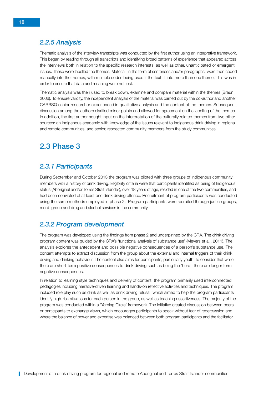## <span id="page-25-0"></span>*2.2.5 Analysis*

Thematic analysis of the interview transcripts was conducted by the first author using an interpretive framework. This began by reading through all transcripts and identifying broad patterns of experience that appeared across the interviews both in relation to the specific research interests, as well as other, unanticipated or emergent issues. These were labelled the themes. Material, in the form of sentences and/or paragraphs, were then coded manually into the themes, with multiple codes being used if the text fit into more than one theme. This was in order to ensure that data and meaning were not lost.

Thematic analysis was then used to break down, examine and compare material within the themes (Braun, 2006). To ensure validity, the independent analysis of the material was carried out by the co-author and another CARRSQ senior researcher experienced in qualitative analysis and the content of the themes. Subsequent discussion among the authors clarified minor points and allowed for agreement on the labelling of the themes. In addition, the first author sought input on the interpretation of the culturally related themes from two other sources: an Indigenous academic with knowledge of the issues relevant to Indigenous drink driving in regional and remote communities, and senior, respected community members from the study communities.

# 2.3 Phase 3

# *2.3.1 Participants*

During September and October 2013 the program was piloted with three groups of Indigenous community members with a history of drink driving. Eligibility criteria were that participants identified as being of Indigenous status (Aboriginal and/or Torres Strait Islander), over 18 years of age, resided in one of the two communities, and had been convicted of at least one drink driving offence. Recruitment of program participants was conducted using the same methods employed in phase 2. Program participants were recruited through justice groups, men's group and drug and alcohol services in the community.

## *2.3.2 Program development*

The program was developed using the findings from phase 2 and underpinned by the CRA. The drink driving program content was guided by the CRA's 'functional analysis of substance use' (Meyers et al., 2011). The analysis explores the antecedent and possible negative consequences of a person's substance use. The content attempts to extract discussion from the group about the external and internal triggers of their drink driving and drinking behaviour. The content also aims for participants, particularly youth, to consider that while there are short-term positive consequences to drink driving such as being the 'hero', there are longer term negative consequences.

In relation to learning style techniques and delivery of content, the program primarily used interconnected pedagogies including narrative-driven learning and hands-on reflective activities and techniques. The program included role play such as drink as well as drink driving refusal, which aimed to help the program participants identify high-risk situations for each person in the group, as well as teaching assertiveness. The majority of the program was conducted within a 'Yarning Circle' framework. The initiative created discussion between peers or participants to exchange views, which encourages participants to speak without fear of repercussion and where the balance of power and expertise was balanced between both program participants and the facilitator.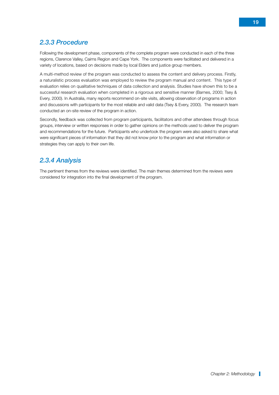# *2.3.3 Procedure*

Following the development phase, components of the complete program were conducted in each of the three regions, Clarence Valley, Cairns Region and Cape York. The components were facilitated and delivered in a variety of locations, based on decisions made by local Elders and justice group members.

A multi-method review of the program was conducted to assess the content and delivery process. Firstly, a naturalistic process evaluation was employed to review the program manual and content. This type of evaluation relies on qualitative techniques of data collection and analysis. Studies have shown this to be a successful research evaluation when completed in a rigorous and sensitive manner (Barnes, 2000; Tsey & Every, 2000). In Australia, many reports recommend on-site visits, allowing observation of programs in action and discussions with participants for the most reliable and valid data (Tsey & Every, 2000). The research team conducted an on-site review of the program in action.

Secondly, feedback was collected from program participants, facilitators and other attendees through focus groups, interview or written responses in order to gather opinions on the methods used to deliver the program and recommendations for the future. Participants who undertook the program were also asked to share what were significant pieces of information that they did not know prior to the program and what information or strategies they can apply to their own life.

## *2.3.4 Analysis*

The pertinent themes from the reviews were identified. The main themes determined from the reviews were considered for integration into the final development of the program.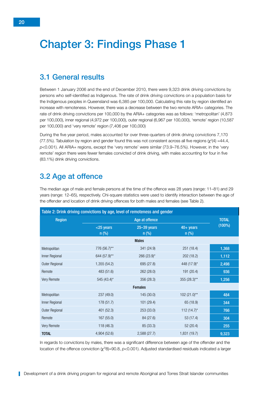# <span id="page-27-0"></span>Chapter 3: Findings Phase 1

## 3.1 General results

Between 1 January 2006 and the end of December 2010, there were 9,323 drink driving convictions by persons who self-identified as Indigenous. The rate of drink driving convictions on a population basis for the Indigenous peoples in Queensland was 6,385 per 100,000. Calculating this rate by region identified an increase with remoteness. However, there was a decrease between the two remote ARIA+ categories. The rate of drink driving convictions per 100,000 by the ARIA+ categories was as follows: 'metropolitan' (4,873 per 100,000), inner regional (4,972 per 100,000), outer regional (6,967 per 100,000), 'remote' region (10,587 per 100,000) and 'very remote' region (7,406 per 100,000)

During the five year period, males accounted for over three-quarters of drink driving convictions 7,170 (77.5%). Tabulation by region and gender found this was not consistent across all five regions ( $\chi^2(4)$  =44.4, *p*<0.001). All ARIA+ regions, except the 'very remote' were similar (73.9–76.5%). However, in the 'very remote' region there were fewer females convicted of drink driving, with males accounting for four in five (83.1%) drink driving convictions.

# 3.2 Age at offence

The median age of male and female persons at the time of the offence was 28 years (range: 11–81) and 29 years (range: 12–65), respectively. Chi-square statistics were used to identify interaction between the age of the offender and location of drink driving offences for both males and females (see Table 2).

|                | Table 2: Drink driving convictions by age, level of remoteness and gender |                            |                        |              |
|----------------|---------------------------------------------------------------------------|----------------------------|------------------------|--------------|
| <b>Region</b>  |                                                                           | Age at offence             |                        | <b>TOTAL</b> |
|                | <25 years<br>$n$ (%)                                                      | $25 - 39$ years<br>$n$ (%) | $40+$ years<br>$n$ (%) | (100%)       |
|                |                                                                           | <b>Males</b>               |                        |              |
| Metropolitan   | 776 (56.7)**                                                              | 341 (24.9)                 | 251(18.4)              | 1,368        |
| Inner Regional | 644 (57.9)**                                                              | 266 (23.9)*                | 202 (18.2)             | 1,112        |
| Outer Regional | 1,355 (54.2)                                                              | 695 (27.8)                 | 448 (17.9)*            | 2,498        |
| Remote         | 483 (51.6)                                                                | 262 (28.0)                 | 191 (20.4)             | 936          |
| Very Remote    | 545 (43.4)*                                                               | 356 (28.3)                 | 355 (28.3)**           | 1,256        |
|                |                                                                           | <b>Females</b>             |                        |              |
| Metropolitan   | 237 (49.0)                                                                | 145 (30.0)                 | $102(21.0)$ **         | 484          |
| Inner Regional | 178 (51.7)                                                                | 101 (29.4)                 | 65 (18.9)              | 344          |
| Outer Regional | 401 (52.3)                                                                | 253 (33.0)                 | 112 $(14.7)^*$         | 766          |
| Remote         | 167 (55.0)                                                                | 84 (27.6)                  | 53(17.4)               | 304          |
| Very Remote    | 118 (46.3)                                                                | 85 (33.3)                  | 52 (20.4)              | 255          |
| <b>TOTAL</b>   | 4,904 (52.6)                                                              | 2,588 (27.7)               | 1,831 (19.7)           | 9,323        |

In regards to convictions by males, there was a significant difference between age of the offender and the location of the offence conviction (χ<sup>2</sup>(8)=90.8, *p*<0.001). Adjusted standardised residuals indicated a larger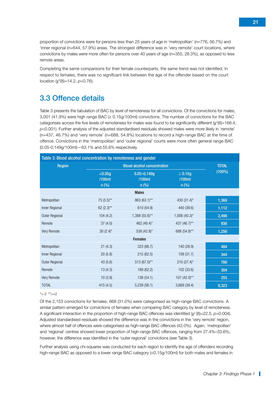<span id="page-28-0"></span>proportion of convictions were for persons less than 25 years of age in 'metropolitan' (n=776, 56.7%) and 'inner regional (n=644, 57.9%) areas. The strongest difference was in 'very remote' court locations, where convictions by males were more often for persons over 40 years of age (n=355, 28.3%), as opposed to less remote areas.

Completing the same comparisons for their female counterparts, the same trend was not identified. In respect to females, there was no significant link between the age of the offender based on the court location (χ<sup>2</sup>(8)=14.2, *p*=0.76).

# 3.3 Offence details

Table 3 presents the tabulation of BAC by level of remoteness for all convictions. Of the convictions for males, 3,001 (41.9%) were high range BAC (≥ 0.15g/100ml) convictions. The number of convictions for the BAC categorises across the five levels of remoteness for males was found to be significantly different ( $\chi^2(8)=168.4$ , *p*<0.001). Further analysis of the adjusted standardised residuals showed males were more likely in 'remote' (n=437, 46.7%) and 'very remote' (n=688, 54.8%) locations to record a high-range BAC at the time of offence. Convictions in the 'metropolitan' and 'outer regional' courts were more often general range BAC (0.05-0.149g/100ml)—63.1% and 55.6% respectively.

| Table 3: Blood alcohol concentration by remoteness and gender |                                    |                                      |                                   |              |  |  |
|---------------------------------------------------------------|------------------------------------|--------------------------------------|-----------------------------------|--------------|--|--|
| <b>Region</b>                                                 | <b>Blood alcohol concentration</b> |                                      |                                   | <b>TOTAL</b> |  |  |
|                                                               | < 0.05g<br>/100ml<br>$n$ (%)       | $0.05 - 0.149g$<br>/100ml<br>$n$ (%) | $\geq 0.15g$<br>/100ml<br>$n$ (%) | $(100\%)$    |  |  |
|                                                               |                                    | <b>Males</b>                         |                                   |              |  |  |
| Metropolitan                                                  | $75(5.5)$ **                       | 863 (63.1)**                         | 430 $(31.4)^*$                    | 1,368        |  |  |
| Inner Regional                                                | 62 $(2.3)$ **                      | 610 (54.9)                           | 440 (39.6)                        | 1,112        |  |  |
| Outer Regional                                                | 104(4.2)                           | 1,388 (55.6)**                       | $1,006$ (40.3)*                   | 2,498        |  |  |
| Remote                                                        | 37(4.0)                            | 462 (49.4)*                          | 437 (46.7)**                      | 936          |  |  |
| Very Remote                                                   | 30 $(2.4)$ *                       | 538 (42.8)*                          | 688 (54.8)**                      | 1,256        |  |  |
|                                                               |                                    | <b>Females</b>                       |                                   |              |  |  |
| Metropolitan                                                  | 21(4.3)                            | 323 (66.7)                           | 140 (28.9)                        | 484          |  |  |
| Inner Regional                                                | 20(5.8)                            | 215(62.5)                            | 109(31.7)                         | 344          |  |  |
| Outer Regional                                                | 43(5.6)                            | 513 (67.0)**                         | $210(27.4)$ *                     | 766          |  |  |
| Remote                                                        | 13(4.3)                            | 189 (62.2)                           | 102 (33.6)                        | 304          |  |  |
| Very Remote                                                   | 10(3.9)                            | 138 (54.1)                           | 107 (42.0)**                      | 255          |  |  |
| <b>TOTAL</b>                                                  | 415(4.5)                           | 5,239(56.1)                          | 3,669 (39.4)                      | 9,323        |  |  |

#### $*$ >-2  $*$  $>+2$

Of the 2,153 convictions for females, 668 (31.0%) were categorised as high-range BAC convictions. A similar pattern emerged for convictions of females when comparing BAC category by level of remoteness. A significant interaction in the proportion of high-range BAC offences was identified (χ<sup>2</sup> (8)=22.5, *p*=0.004). Adjusted standardised residuals showed the difference was in the convictions in the 'very remote' region, where almost half of offences were categorised as high-range BAC offences (42.0%). Again, 'metropolitan' and 'regional' centres showed lower proportion of high-range BAC offences, ranging from 27.4%–33.6%; however, the difference was identified in the 'outer regional' convictions (see Table 3).

Further analysis using chi-squares was conducted for each region to identify the age of offenders recording high-range BAC as opposed to a lower range BAC category (<0.15g/100ml) for both males and females in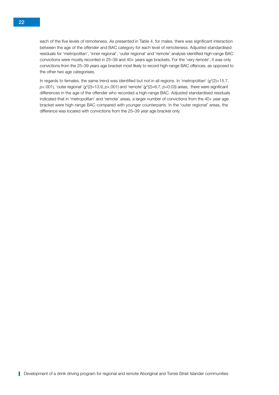each of the five levels of remoteness. As presented in Table 4, for males, there was significant interaction between the age of the offender and BAC category for each level of remoteness. Adjusted standardised residuals for 'metropolitan', 'inner regional', 'outer regional' and 'remote' analysis identified high-range BAC convictions were mostly recorded in 25–39 and 40+ years age brackets. For the 'very remote', it was only convictions from the 25–39 years age bracket most likely to record high-range BAC offences, as opposed to the other two age categorises.

In regards to females, the same trend was identified but not in all regions. In 'metropolitan' (χ<sup>2</sup>(2)=15.7, *p*<.001), 'outer regional' (χ<sup>2</sup>(2)=13.9, *p<*.001) and 'remote' (χ<sup>2</sup>(2)=6.7, *p*=0.03) areas, there were significant differences in the age of the offender who recorded a high-range BAC. Adjusted standardised residuals indicated that in 'metropolitan' and 'remote' areas, a larger number of convictions from the 40+ year age bracket were high-range BAC compared with younger counterparts. In the 'outer regional' areas, the difference was located with convictions from the 25–39 year age bracket only.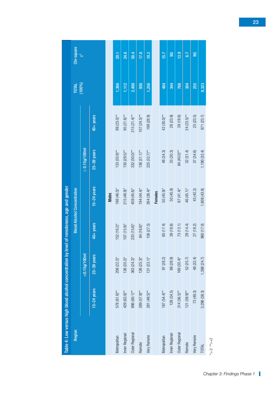<span id="page-30-0"></span>

| 24.6<br>17.8<br>19.2<br>$\frac{2}{5}$<br>$\frac{2}{5}$<br>50.4<br>13.9<br>15.7<br>6.7<br>29.1<br>$\chi^2$<br>936<br>1,256<br>766<br>1,368<br>1,112<br>2,498<br>304<br>255<br>484<br>344<br>9,323<br>(100%)<br>99 (23.0)**<br>40+ years<br>$95(21.6)$ **<br>$215(21.4)$ **<br>$107(24.5)***$<br>199 (28.9)<br>42 (30.0)**<br>26 (23.9)<br>39 (18.6)<br>$24(23.5)***$<br>25 (23.5)<br>871 (23.7)<br>$\geq 0.15$ g/100ml<br>25-39 years<br>$133(30.9)$ **<br>$130(29.5)$ **<br>84 (40.0)**<br>$332(30.0)$ **<br>$136(31.1)$ **<br>$225(32.7)$ **<br>48 (34.3)<br>1,190 (32.4)<br>33 (30.3)<br>32(31.4)<br>37 (34.6)<br>$15-24$ years<br>50 (45.9)<br>45 (42.2)<br>1,608 (43.8)<br>$198(46.0)$ *<br>$215(48.9)$ *<br>$194(44.4)$ *<br>46 (45.1)*<br>459 (45.6)*<br>$264(38.4)$ *<br>$50(45.9)$ <sup>*</sup><br>$87(41.4)$ *<br><b>Females</b><br>Males | Table 4: Low versus high blood alcohol concentration by |  | level of remoteness, age and gender | <b>Blood Alcohol Concentration</b> |  | <b>N10L</b> | Chi-square |
|----------------------------------------------------------------------------------------------------------------------------------------------------------------------------------------------------------------------------------------------------------------------------------------------------------------------------------------------------------------------------------------------------------------------------------------------------------------------------------------------------------------------------------------------------------------------------------------------------------------------------------------------------------------------------------------------------------------------------------------------------------------------------------------------------------------------------------------------------|---------------------------------------------------------|--|-------------------------------------|------------------------------------|--|-------------|------------|
|                                                                                                                                                                                                                                                                                                                                                                                                                                                                                                                                                                                                                                                                                                                                                                                                                                                    | $<$ 0.15g/100ml                                         |  |                                     |                                    |  |             |            |
|                                                                                                                                                                                                                                                                                                                                                                                                                                                                                                                                                                                                                                                                                                                                                                                                                                                    | $40+years$<br>25-39 years<br>$15-24$ years              |  |                                     |                                    |  |             |            |
|                                                                                                                                                                                                                                                                                                                                                                                                                                                                                                                                                                                                                                                                                                                                                                                                                                                    |                                                         |  |                                     |                                    |  |             |            |
|                                                                                                                                                                                                                                                                                                                                                                                                                                                                                                                                                                                                                                                                                                                                                                                                                                                    | $152(16.2)$ *<br>$208 (22.2)^*$<br>578 (61.6)**         |  |                                     |                                    |  |             |            |
|                                                                                                                                                                                                                                                                                                                                                                                                                                                                                                                                                                                                                                                                                                                                                                                                                                                    | $107(15.9)$ *<br>$136(20.2)$ *<br>429 (63.8)**          |  |                                     |                                    |  |             |            |
|                                                                                                                                                                                                                                                                                                                                                                                                                                                                                                                                                                                                                                                                                                                                                                                                                                                    | $233(15.6)$ *<br>$363 (24.3)^*$<br>896 (60.1)**         |  |                                     |                                    |  |             |            |
|                                                                                                                                                                                                                                                                                                                                                                                                                                                                                                                                                                                                                                                                                                                                                                                                                                                    | 84 (16.8)*<br>$126(25.3)$ *<br>289 (57.9)**             |  |                                     |                                    |  |             |            |
|                                                                                                                                                                                                                                                                                                                                                                                                                                                                                                                                                                                                                                                                                                                                                                                                                                                    | 156 (27.5)<br>$131 (23.1)^*$<br>281 (49.5)**            |  |                                     |                                    |  |             |            |
|                                                                                                                                                                                                                                                                                                                                                                                                                                                                                                                                                                                                                                                                                                                                                                                                                                                    |                                                         |  |                                     |                                    |  |             |            |
|                                                                                                                                                                                                                                                                                                                                                                                                                                                                                                                                                                                                                                                                                                                                                                                                                                                    | 60 (17.4)<br>97 (28.2)<br>$187(54.4)$ **                |  |                                     |                                    |  |             |            |
|                                                                                                                                                                                                                                                                                                                                                                                                                                                                                                                                                                                                                                                                                                                                                                                                                                                    | 39 (16.6)<br>68 (28.9)<br>128 (54.5)                    |  |                                     |                                    |  |             |            |
|                                                                                                                                                                                                                                                                                                                                                                                                                                                                                                                                                                                                                                                                                                                                                                                                                                                    | 73(13.1)<br>$169(30.4)$ *<br>$314(56.5)$ **             |  |                                     |                                    |  |             |            |
|                                                                                                                                                                                                                                                                                                                                                                                                                                                                                                                                                                                                                                                                                                                                                                                                                                                    | 29 (14.4)<br>52 (25.7)<br>$121(59.9)$ **                |  |                                     |                                    |  |             |            |
|                                                                                                                                                                                                                                                                                                                                                                                                                                                                                                                                                                                                                                                                                                                                                                                                                                                    | 27 (18.2)<br>48 (32.4)<br>73(49.3)                      |  |                                     |                                    |  |             |            |
|                                                                                                                                                                                                                                                                                                                                                                                                                                                                                                                                                                                                                                                                                                                                                                                                                                                    | 960 (17.0)<br>1,398 (24.7)<br>3,296 (58.3)              |  |                                     |                                    |  |             |            |

\*>-2 \*\*>+2 \*>-2 \*\*>+2

*Chapter 3: Findings Phase 1*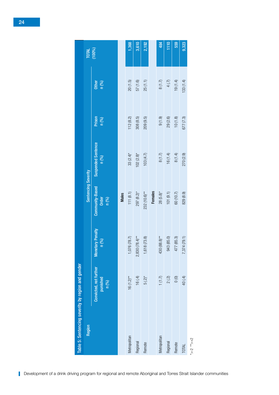|              | Table 5: Sentencing severity by region and gender |                                 |                                   |                                    |                 |                |        |
|--------------|---------------------------------------------------|---------------------------------|-----------------------------------|------------------------------------|-----------------|----------------|--------|
| Region       |                                                   |                                 | Sentencing Severity               |                                    |                 |                | TOTAL  |
|              | Convicted, not further<br>punished<br>n(%)        | etary Penalty<br>n (9/6)<br>Mon | Community-Based<br>Order<br>n (%) | <b>Suspended Sentence</b><br>n (%) | Prison<br>n (%) | Other<br>n (%) | (100%) |
|              |                                                   |                                 | <b>Males</b>                      |                                    |                 |                |        |
| Metropolitan | $16(1.2)$ **                                      | 1,076 (78.7)                    | 111(8.1)                          | $33(2.4)$ *                        | 112(8.2)        | 20(1.5)        | 1,368  |
| Regional     | 16(4)                                             | $2,830(78.4)***$                | $297 (8.2)^*$                     | $102(2.8)$ *                       | 308(8.5)        | 57(1.6)        | 3,610  |
| Remote       | $5(.2)*$                                          | 1,618 (73.8)                    | $232(10.6)$ **                    | 103(4.7)                           | 209(9.5)        | 25(1.1)        | 2,192  |
|              |                                                   |                                 | <b>Females</b>                    |                                    |                 |                |        |
| Metropolitan |                                                   | 430 (88.8)**                    | $28(5.8)$ *                       | $8(1.7)$                           | $(6.1)$ 6       | $8(1.7)$       | 484    |
| Regional     | $1(1.7)$<br>2(.2)                                 | 943 (85.0)                      | 101(9.1)                          | 16(1.4)                            | 29(2.6)         | 4(.7)          | 1110   |
| Remote       | $0\,0$                                            | 477 (85.3)                      | 60 (10.7)                         | $8(1.4)$                           | 10(1.8)         | 19(1.4)        | 559    |
| TOTAL        | 40 (.4)                                           | 7,374(79.1)                     | 829 (8.9)                         | 270 (2.9)                          | 677(7.3)        | 133(1.4)       | 9,323  |

#### <span id="page-31-0"></span>24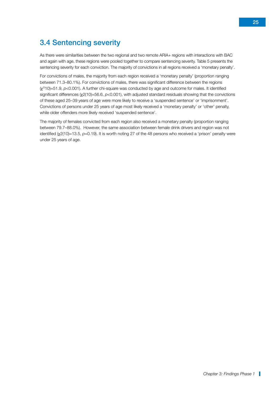# <span id="page-32-0"></span>3.4 Sentencing severity

As there were similarities between the two regional and two remote ARIA+ regions with interactions with BAC and again with age, these regions were pooled together to compare sentencing severity. Table 5 presents the sentencing severity for each conviction. The majority of convictions in all regions received a 'monetary penalty'.

For convictions of males, the majority from each region received a 'monetary penalty' (proportion ranging between 71.3–80.1%). For convictions of males, there was significant difference between the regions (χ2(10)=51.9, *p*<0.001). A further chi-square was conducted by age and outcome for males. It identified significant differences (χ2(10)=56.6, *p*<0.001), with adjusted standard residuals showing that the convictions of these aged 25–39 years of age were more likely to receive a 'suspended sentence' or 'imprisonment'. Convictions of persons under 25 years of age most likely received a 'monetary penalty' or 'other' penalty, while older offenders more likely received 'suspended sentence'.

The majority of females convicted from each region also received a monetary penalty (proportion ranging between 79.7–88.0%). However, the same association between female drink drivers and region was not identified (χ2(10)=13.5, p=0.19). It is worth noting 27 of the 48 persons who received a 'prison' penalty were under 25 years of age.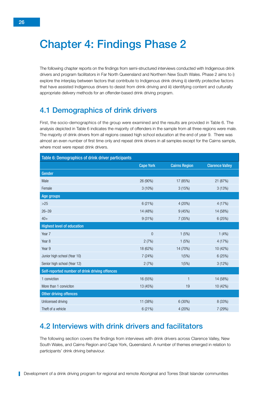# <span id="page-33-0"></span>Chapter 4: Findings Phase 2

The following chapter reports on the findings from semi-structured interviews conducted with Indigenous drink drivers and program facilitators in Far North Queensland and Northern New South Wales. Phase 2 aims to i) explore the interplay between factors that contribute to Indigenous drink driving ii) identify protective factors that have assisted Indigenous drivers to desist from drink driving and iii) identifying content and culturally appropriate delivery methods for an offender-based drink driving program.

# 4.1 Demographics of drink drivers

First, the socio-demographics of the group were examined and the results are provided in Table 6. The analysis depicted in Table 6 indicates the majority of offenders in the sample from all three regions were male. The majority of drink drivers from all regions ceased high school education at the end of year 9. There was almost an even number of first time only and repeat drink drivers in all samples except for the Cairns sample, where most were repeat drink drivers.

| Table 6: Demographics of drink driver participants |                  |                      |                        |
|----------------------------------------------------|------------------|----------------------|------------------------|
|                                                    | <b>Cape York</b> | <b>Cairns Region</b> | <b>Clarence Valley</b> |
| Gender                                             |                  |                      |                        |
| Male                                               | 26 (90%)         | 17 (85%)             | 21 (87%)               |
| Female                                             | $3(10\%)$        | 3(15%)               | 3(13%)                 |
| Age groups                                         |                  |                      |                        |
| $>25$                                              | 6 (21%)          | 4 (20%)              | 4 (17%)                |
| $26 - 39$                                          | 14 (48%)         | 9(45%)               | 14 (58%)               |
| $40+$                                              | 9(31%)           | 7(35%)               | 6(25%)                 |
| <b>Highest level of education</b>                  |                  |                      |                        |
| Year 7                                             | $\overline{0}$   | 1(5%)                | 1(4%)                  |
| Year <sub>8</sub>                                  | 2(7%)            | 1(5%)                | 4 (17%)                |
| Year 9                                             | 18 (62%)         | 14 (70%)             | 10 (42%)               |
| Junior high school (Year 10)                       | 7(24%)           | 1(5%)                | 6(25%)                 |
| Senior high school (Year 12)                       | 2(7%)            | 1(5%)                | 3(12%)                 |
| Self-reported number of drink driving offences     |                  |                      |                        |
| 1 conviction                                       | 16 (55%)         | 1                    | 14 (58%)               |
| More than 1 conviciton                             | 13 (45%)         | 19                   | 10 (42%)               |
| <b>Other driving offences</b>                      |                  |                      |                        |
| Unlicensed driving                                 | 11 (38%)         | 6 (30%)              | 8 (33%)                |
| Theft of a vehicle                                 | 6 (21%)          | 4 (20%)              | 7 (29%)                |

# 4.2 Interviews with drink drivers and facilitators

The following section covers the findings from interviews with drink drivers across Clarence Valley, New South Wales, and Cairns Region and Cape York, Queensland. A number of themes emerged in relation to participants' drink driving behaviour.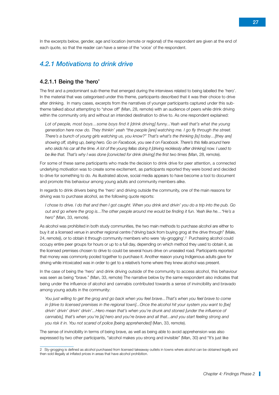In the excerpts below, gender, age and location (remote or regional) of the respondent are given at the end of each quote, so that the reader can have a sense of the 'voice' of the respondent.

#### *4.2.1 Motivations to drink drive*

#### 4.2.1.1 Being the 'hero'

The first and a predominant sub-theme that emerged during the interviews related to being labelled the 'hero'. In the material that was categorised under this theme, participants described that it was their choice to drive after drinking. In many cases, excerpts from the narratives of younger participants captured under this subtheme talked about attempting to "show off" (Man, 28, remote) with an audience of peers while drink driving within the community only and without an intended destination to drive to. As one respondent explained:

*Lot of people, most boys…some boys find it [drink driving] funny...Yeah well that's what the young generation here now do. They thinkin' yeah "the people [are] watching me. I go fly through the street. There's a bunch of young girls watching us, you know?" That's what's the thinking [is] today…[they are] showing off, styling up, being hero. Go on Facebook, you see it on Facebook. There's this fella around here who skids his car all the time. A lot of the young fellas doing it [driving recklessly after drinking] now. I used to be like that. That's why I was done [convicted for drink driving] the first two times* (Man, 28, remote).

For some of these same participants who made the decision to drink drive for peer attention, a connected underlying motivation was to create some excitement, as participants reported they were bored and decided to drive for something to do. As illustrated above, social media appears to have become a tool to document and promote this behaviour among young adults and community members alike.

In regards to drink drivers being the 'hero' and driving outside the community, one of the main reasons for driving was to purchase alcohol, as the following quote reports:

*I chose to drive. I do that and then I got caught. When you drink and drivin' you do a trip into the pub. Go out and go where the grog is...The other people around me would be finding it fun. Yeah like he…"He's a hero"* (Man, 33, remote).

As alcohol was prohibited in both study communities, the two main methods to purchase alcohol are either to buy it at a licensed venue in another regional centre ("driving back from buying grog at the drive through" (Male, 24, remote)), or to obtain it through community members who were 'sly-grogging'.2 Purchasing alcohol could occupy entire peer groups for hours or up to a full day, depending on which method they used to obtain it, as the licensed premises chosen to drive to could be several hours drive on unsealed road. Participants reported that money was commonly pooled together to purchase it. Another reason young Indigenous adults gave for driving while intoxicated was in order to get to a relative's home where they knew alcohol was present.

In the case of being the 'hero' and drink driving outside of the community to access alcohol, this behaviour was seen as being "brave." (Man, 33, remote) The narrative below by the same respondent also indicates that being under the influence of alcohol and cannabis contributed towards a sense of invincibility and bravado among young adults in the community:

*You just willing to get the grog and go back when you feel brave...That's when you feel brave to come in [drive to licensed premises in the regional town]...Once the alcohol hit your system you want to [be] drivin' drivin' drivin' drivin'...Hero mean that's when you're drunk and stoned [under the influence of cannabis], that's when you're [a] hero and you're brave and all that...and you start feeling strong and you risk it in. You not scared of police [being apprehended]* (Man, 33, remote).

The sense of invincibility in terms of being brave, as well as being able to avoid apprehension was also expressed by two other participants, "alcohol makes you strong and invisible" (Man, 30) and "It's just like

<sup>2</sup> Sly-grogging is defined as alcohol purchased from licensed takeaway outlets in towns where alcohol can be obtained legally and then sold illegally at inflated prices in areas that have alcohol prohibition.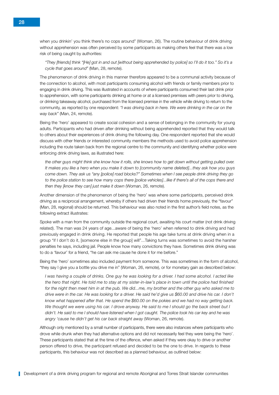when you drinkin' you think there's no cops around" (Woman, 26). The routine behaviour of drink driving without apprehension was often perceived by some participants as making others feel that there was a low risk of being caught by authorities:

*"They [friends] think "[He] got in and out [without being apprehended by police] so I'll do it too." So it's a cycle that goes around"* (Man, 28, remote).

The phenomenon of drink driving in this manner therefore appeared to be a communal activity because of the connection to alcohol, with most participants consuming alcohol with friends or family members prior to engaging in drink driving. This was illustrated in accounts of where participants consumed their last drink prior to apprehension, with some participants drinking at home or at a licensed premises with peers prior to driving, or drinking takeaway alcohol, purchased from the licensed premise in the vehicle while driving to return to the community, as reported by one respondent: *"I was driving back in here. We were drinking in the car on the way back"* (Man, 24, remote).

Being the 'hero' appeared to create social cohesion and a sense of belonging in the community for young adults. Participants who had driven after drinking without being apprehended reported that they would talk to others about their experiences of drink driving the following day. One respondent reported that she would discuss with other friends or interested community members the methods used to avoid police apprehension including the route taken back from the regional centre to the community and identifying whether police were enforcing drink driving laws, as illustrated here:

*the other guys might think she know how it rolls, she knows how to get down without getting pulled over. It makes you like a hero when you make it down to [community name deleted]...they ask how you guys come down. They ask us "any [police] road blocks?" Sometimes when I see people drink driving they go to the police station to see how many cops there [police vehicles]...like if there's all of the cops there and then they [know they can] just make it down* (Woman, 26, remote).

Another dimension of the phenomenon of being the 'hero' was where some participants, perceived drink driving as a reciprocal arrangement, whereby if others had driven their friends home previously, the "favour" (Man, 28, regional) should be returned. This behaviour was also noted in the first author's field notes, as the following extract illustrates:

Spoke with a man from the community outside the regional court, awaiting his court matter (not drink driving related). The man was 24 years of age...aware of being the 'hero' when referred to drink driving and had previously engaged in drink driving. He reported that people his age take turns at drink driving when in a group "if I don't do it, [someone else in the group] will"...Taking turns was sometimes to avoid the harsher penalties he says, including jail. People know how many convictions they have. Sometimes drink driving was to do a 'favour' for a friend, "he can ask me cause he done it for me before."

Being the 'hero' sometimes also included payment from someone. This was sometimes in the form of alcohol, "they say I give you a bottle you drive me in" (Woman, 26, remote), or for monetary gain as described below:

*I was having a couple of drinks. One guy he was looking for a driver. I had some alcohol. I acted like the hero that night. He told me to stay at my sister-in-law's place in town until the police had finished*  for the night then meet him in at the pub. We did...me, my brother and the other guy who asked me to *drive were in the car. He was looking for a driver. He said he'd give us \$60.00 and drive his car. I don't know what happened after that. He spend the \$60.00 on the pokies and we had no way getting back. We thought we were using his car. I drove anyway. He said to me I should go the back street but I didn't. He said to me I should have listened when I got caught. The police took his car key and he was angry 'cause he didn't get his car back straight away* (Woman, 26, remote).

Although only mentioned by a small number of participants, there were also instances where participants who drove while drunk when they had alternative options and did not necessarily feel they were being the 'hero'. These participants stated that at the time of the offence, when asked if they were okay to drive or another person offered to drive, the participant refused and decided to be the one to drive. In regards to these participants, this behaviour was not described as a planned behaviour, as outlined below: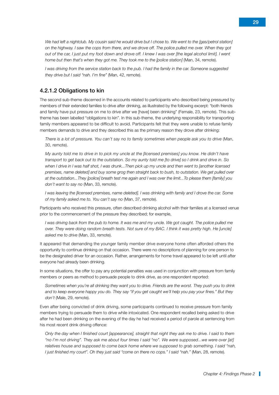We had left a nightclub. My cousin said he would drive but I chose to. We went to the [gas/petrol station] *on the highway. I saw the cops from there, and we drove off. The police pulled me over. When they got out of the car, I just put my foot down and drove off. I knew I was over [the legal alcohol limit]. I went home but then that's when they got me. They took me to the [police station]* (Man, 34, remote).

*I was driving from the service station back to the pub. I had the family in the car. Someone suggested they drive but I said "nah. I'm fine"* (Man, 42, remote).

#### 4.2.1.2 Obligations to kin

The second sub-theme discerned in the accounts related to participants who described being pressured by members of their extended families to drive after drinking, as illustrated by the following excerpt: "both friends and family have put pressure on me to drive after we [have] been drinking" (Female, 23, remote). This subtheme has been labelled "obligations to kin". In this sub-theme, the underlying responsibility for transporting family members appeared to be difficult to avoid. Participants felt that they were unable to refuse family members demands to drive and they described this as the primary reason they drove after drinking:

*There is a lot of pressure. You can't say no to family sometimes when people ask you to drive* (Man, 30, remote).

*My aunty told me to drive in to pick my uncle at the [licensed premises] you know. He didn't have transport to get back out to the outstation. So my aunty told me [to drive] so I drink and drive in. So when I drive in I was half shot, I was drunk...Then pick up my uncle and then went to [another licensed premises, name deleted] and buy some grog then straight back to bush, to outstation. We get pulled over at the outstation...They [police] breath test me again and I was over the limit...To please them [family] you don't want to say no* (Man, 33, remote).

*I* was leaving the *llicensed premises, name deleted]. I was drinking with family and I drove the car. Some of my family asked me to. You can't say no* (Man, 37, remote).

Participants who received this pressure, often described drinking alcohol with their families at a licensed venue prior to the commencement of the pressure they described; for example,

*I* was driving back from the pub to home. It was me and my uncle. We got caught. The police pulled me *over. They were doing random breath tests. Not sure of my BAC. I think it was pretty high. He [uncle] asked me to drive* (Man, 33, remote).

It appeared that demanding the younger family member drive everyone home often afforded others the opportunity to continue drinking on that occasion. There were no descriptions of planning for one person to be the designated driver for an occasion. Rather, arrangements for home travel appeared to be left until after everyone had already been drinking.

In some situations, the offer to pay any potential penalties was used in conjunction with pressure from family members or peers as method to persuade people to drink drive, as one respondent reported:

*Sometimes when you're all drinking they want you to drive. Friends are the worst. They push you to drink and to keep everyone happy you do. They say "if you get caught we'll help you pay your fines." But they don't* (Male, 29, remote).

Even after being convicted of drink driving, some participants continued to receive pressure from family members trying to persuade them to drive while intoxicated. One respondent recalled being asked to drive after he had been drinking on the evening of the day he had received a period of parole at sentencing from his most recent drink driving offence:

*Only the day when I finished court [appearance], straight that night they ask me to drive. I said to them "no I'm not driving". They ask me about four times I said "no". We were supposed...we were over [at] relatives house and supposed to come back home where we supposed to grab something. I said "nah, I just finished my court". Oh they just said "come on there no cops." I said "nah."* (Man, 28, remote).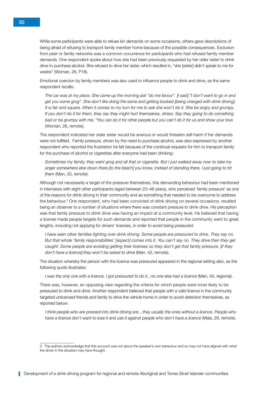While some participants were able to refuse kin demands on some occasions, others gave descriptions of being afraid of refusing to transport family member home because of the possible consequences. Exclusion from peer or family networks was a common occurrence for participants who had refused family member demands. One respondent spoke about how she had been previously requested by her older sister to drink drive to purchase alcohol. She refused to drive her sister, which resulted in, "she [sister] didn't speak to me for weeks" (Woman, 26, P18).

Emotional coercion by family members was also used to influence people to drink and drive, as the same respondent recalls:

*The car was at my place. She came up the morning ask "do me favour". [I said] "I don't want to go in and get you some grog". She don't like doing the same and getting booked [being charged with drink driving]. It is fair and square. When it comes to my turn for me to ask she won't do it. She be angry and grumpy. If you don't do it for them, they say they might hurt themselves, stress. Say they going to do something bad or be grumpy with me. "You can do it for other people but you can't do it for us and show your love*  (Woman, 26, remote).

The respondent indicated her older sister would be anxious or would threaten self-harm if her demands were not fulfilled. Family pressure, driven by the need to purchase alcohol, was also expressed by another respondent who reported the frustration he felt because of the continual requests for him to transport family for the purchase of alcohol or cigarettes after everyone had been drinking:

*Sometimes my family, they want grog and all that or cigarette. But I just walked away now to take my anger somewhere else down there [to the beach] you know, instead of standing there, I just going to hit them* (Man, 33, remote).

Although not necessarily a target of the pressure themselves, this demanding behaviour had been mentioned in interviews with eight other participants (aged between 23–48 years), who perceived 'family pressure' as one of the reasons for drink driving in their community and as something that needed to be overcome to address the behaviour.<sup>3</sup> One respondent, who had been convicted of drink driving on several occasions, recalled being an observer to a number of situations where there was constant pressure to drink drive. His perception was that family pressure to drink drive was having an impact at a community level. He believed that having a license made people targets for such demands and reported that people in the community went to great lengths, including not applying for drivers' licenses, in order to avoid being pressured:

*I have seen other families fighting over drink driving. Some people are pressured to drive. They say no. But that whole 'family responsibilities' [aspect] comes into it. You can't say no. They drive then they get caught. Some people are avoiding getting their licenses so they don't get that family pressure. [if they don't have a licence] they won't be asked to drive* (Man, 42, remote).

The situation whereby the person with the licence was pressured appeared in the regional setting also, as the following quote illustrates:

*I* was the only one with a licence. *I got pressured to do it...no one else had a licence* (Man, 45, regional).

There was, however, an opposing view regarding the criteria for which people were most likely to be pressured to drink and drive. Another respondent believed that people with a valid licence in the community targeted unlicensed friends and family to drive the vehicle home in order to avoid detection themselves, as reported below:

*I think people who are pressed into drink driving are…they usually the ones without a licence. People who have a licence don't want to lose it and use it against people who don't have a licence* (Male, 29, remote).

<sup>3</sup> The authors acknowledge that this account was not about the speaker's own behaviour and so may not have aligned with what the driver in the situation may have thought.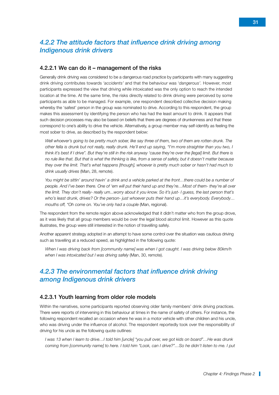## *4.2.2 The attitude factors that influence drink driving among Indigenous drink drivers*

#### 4.2.2.1 We can do it – management of the risks

Generally drink driving was considered to be a dangerous road practice by participants with many suggesting drink driving contributes towards *'accidents'* and that the behaviour was '*dangerous'.* However, most participants expressed the view that driving while intoxicated was the only option to reach the intended location at the time. At the same time, the risks directly related to drink driving were perceived by some participants as able to be managed. For example, one respondent described collective decision making whereby the 'safest' person in the group was nominated to drive. According to this respondent, the group makes this assessment by identifying the person who has had the least amount to drink. It appears that such decision processes may also be based on beliefs that there are degrees of drunkenness and that these correspond to one's ability to drive the vehicle. Alternatively, a group member may self-identify as feeling the most sober to drive, as described by the respondent below:

*Well whoever's going to be pretty much sober, like say three of them, two of them are rotten drunk. The other fella is drunk but not really, really drunk. He'll end up saying, "I'm more straighter than you two, I think it's best if I drive". But they're still in the risk anyway 'cause they're over the [legal] limit. But there is no rule like that. But that is what the thinking is like, from a sense of safety, but it doesn't matter because they over the limit. That's what happens [though], whoever is pretty much sober or hasn't had much to drink usually drives* (Man, 28, remote).

*You might be sittin' around havin' a drink and a vehicle parked at the front…there could be a number of people. And I've been there. One of 'em will put their hand up and they're…Most of them- they're all over the limit. They don't really- really um...worry about it you know. So it's just- I guess, the last person that's who's least drunk, drives? Or the person- just whoever puts their hand up…it's everybody. Everybody… mouths off, "Oh come on. You've only had a couple* (Man, regional).

The respondent from the remote region above acknowledged that it didn't matter who from the group drove, as it was likely that all group members would be over the legal blood alcohol limit. However as this quote illustrates, the group were still interested in the notion of travelling safely.

Another apparent strategy adopted in an attempt to have some control over the situation was cautious driving such as travelling at a reduced speed, as highlighted in the following quote:

*When I was driving back from [community name] was when I got caught. I was driving below 80km/h when I was intoxicated but I was driving safely* (Man, 30, remote).

#### *4.2.3 The environmental factors that influence drink driving among Indigenous drink drivers*

#### 4.2.3.1 Youth learning from older role models

Within the narratives, some participants reported observing older family members' drink driving practices. There were reports of intervening in this behaviour at times in the name of safety of others. For instance, the following respondent recalled an occasion where he was in a motor vehicle with other children and his uncle, who was driving under the influence of alcohol. The respondent reportedly took over the responsibility of driving for his uncle as the following quote outlines:

*I was 13 when I learn to drive…I told him [uncle] "you pull over, we got kids on board"…He was drunk coming from [community name] to here. I told him "Look, can I drive?"…So he didn't listen to me. I put*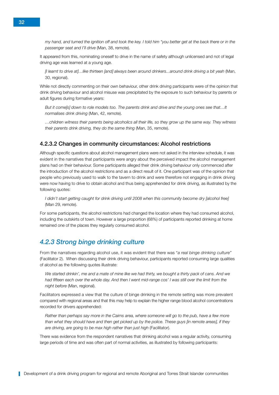*my hand, and turned the ignition off and took the key. I told him "you better get at the back there or in the passenger seat and I'll drive* (Man, 38, remote).

It appeared from this, nominating oneself to drive in the name of safety although unlicensed and not of legal driving age was learned at a young age.

*[I learnt to drive at]…like thirteen [and] always been around drinkers...around drink driving a bit yeah* (Man, 30, regional).

While not directly commenting on their own behaviour, other drink driving participants were of the opinion that drink driving behaviour and alcohol misuse was precipitated by the exposure to such behaviour by parents or adult figures during formative years:

*But it come[s] down to role models too. The parents drink and drive and the young ones see that…It normalises drink driving* (Man, 42, remote).

*…children witness their parents being alcoholics all their life, so they grow up the same way. They witness their parents drink driving, they do the same thing* (Man, 35, remote).

#### 4.2.3.2 Changes in community circumstances: Alcohol restrictions

Although specific questions about alcohol management plans were not asked in the interview schedule, it was evident in the narratives that participants were angry about the perceived impact the alcohol management plans had on their behaviour. Some participants alleged their drink driving behaviour only commenced after the introduction of the alcohol restrictions and as a direct result of it. One participant was of the opinion that people who previously used to walk to the tavern to drink and were therefore not engaging in drink driving were now having to drive to obtain alcohol and thus being apprehended for drink driving, as illustrated by the following quotes:

*I didn't start getting caught for drink driving until 2008 when this community become dry [alcohol free]*  (Man 29, remote).

For some participants, the alcohol restrictions had changed the location where they had consumed alcohol, including the outskirts of town. However a large proportion (68%) of participants reported drinking at home remained one of the places they regularly consumed alcohol.

#### *4.2.3 Strong binge drinking culture*

From the narratives regarding alcohol use, it was evident that there was "*a real binge drinking culture"* (Facilitator 2). When discussing their drink driving behaviour, participants reported consuming large qualities of alcohol as the following quotes illustrate:

*We started drinkin', me and a mate of mine like we had thirty, we bought a thirty pack of cans. And we*  had fifteen each over the whole day. And then I went mid-range cos' I was still over the limit from the *night before* (Man, regional).

Facilitators expressed a view that the culture of binge drinking in the remote setting was more prevalent compared with regional areas and that this may help to explain the higher range blood alcohol concentrations recorded for drivers apprehended:

*Rather than perhaps say more in the Cairns area, where someone will go to the pub, have a few more than what they should have and then get picked up by the police. These guys [in remote areas], if they are driving, are going to be max high rather than just high* (Facilitator).

There was evidence from the respondent narratives that drinking alcohol was a regular activity, consuming large periods of time and was often part of normal activities, as illustrated by following participants: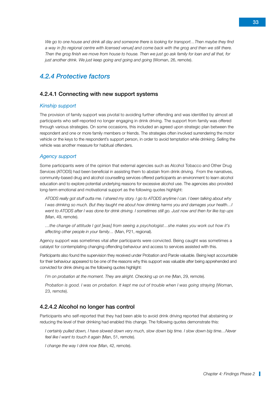*just another drink. We just keep going and going and going* (Woman, 26, remote). *4.2.4 Protective factors*

#### 4.2.4.1 Connecting with new support systems

#### *Kinship support*

The provision of family support was pivotal to avoiding further offending and was identified by almost all participants who self-reported no longer engaging in drink driving. The support from family was offered through various strategies. On some occasions, this included an agreed upon strategic plan between the respondent and one or more family members or friends. The strategies often involved surrendering the motor vehicle or the keys to the respondent's support person, in order to avoid temptation while drinking. Selling the vehicle was another measure for habitual offenders.

*We go to one house and drink all day and someone there is looking for transport…Then maybe they find a way in [to regional centre with licensed venue] and come back with the grog and then we still there. Then the grog finish we move from house to house. Then we just go ask family for loan and all that, for* 

#### *Agency support*

Some participants were of the opinion that external agencies such as Alcohol Tobacco and Other Drug Services (ATODS) had been beneficial in assisting them to abstain from drink driving. From the narratives, community-based drug and alcohol counselling services offered participants an environment to learn alcohol education and to explore potential underlying reasons for excessive alcohol use. The agencies also provided long-term emotional and motivational support as the following quotes highlight:

*ATODS really got stuff outta me. I shared my story. I go to ATODS anytime I can. I been talking about why I was drinking so much. But they taught me about how drinking harms you and damages your health…I went to ATODS after I was done for drink driving. I sometimes still go. Just now and then for like top ups*  (Man, 49, remote).

*…the change of attitude I got [was] from seeing a psychologist…she makes you work out how it's affecting other people in your family…* (Man, P21, regional).

Agency support was sometimes vital after participants were convicted. Being caught was sometimes a catalyst for contemplating changing offending behaviour and access to services assisted with this.

Participants also found the supervision they received under Probation and Parole valuable. Being kept accountable for their behaviour appeared to be one of the reasons why this support was valuable after being apprehended and convicted for drink driving as the following quotes highlight:

*I'm on probation at the moment. They are alright. Checking up on me (Man, 29, remote).* 

*Probation is good. I was on probation. It kept me out of trouble when I was going straying* (Woman, 23, remote).

#### 4.2.4.2 Alcohol no longer has control

Participants who self-reported that they had been able to avoid drink driving reported that abstaining or reducing the level of their drinking had enabled this change. The following quotes demonstrate this:

*I certainly pulled down, I have slowed down very much, slow down big time. I slow down big time…Never feel like I want to touch it again* (Man, 51, remote).

*I change the way I drink now* (Man, 42, remote).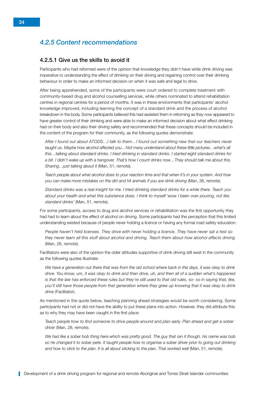## *4.2.5 Content recommendations*

#### 4.2.5.1 Give us the skills to avoid it

Participants who had reformed were of the opinion that knowledge they didn't have while drink driving was imperative to understanding the effect of drinking on their driving and regaining control over their drinking behaviour in order to make an informed decision on when it was safe and legal to drive.

After being apprehended, some of the participants were court ordered to complete treatment with community-based drug and alcohol counselling services, while others nominated to attend rehabilitation centres in regional centres for a period of months. It was in these environments that participants' alcohol knowledge improved, including learning the concept of a standard drink and the process of alcohol breakdown in the body. Some participants believed this had assisted them in reforming as they now appeared to have greater control of their drinking and were able to make an informed decision about what effect drinking had on their body and also their driving safety and recommended that these concepts should be included in the content of the program for their community, as the following quotes demonstrate:

*After I found out about ATODS…I talk to them…I found out something new that our teachers never taught us. Maybe how alcohol affected you…Not many understand about these little pictures…what's all this…talking about standard drinks. I tried drinking in standard drinks. I started eight standard drinks for a bit. I didn't wake up with a hangover. That's how I count drinks now…They should talk me about this. Sharing…just talking about it* (Man, 51, remote).

*Teach people about what alcohol does to your reaction time and that when it's in your system. And how you can make more mistakes on the dirt and hit animals if you are drink driving* (Man, 36, remote).

*Standard drinks was a real insight for me. I tried drinking standard drinks for a while there. Teach you about your health and what this substance does. I think to myself 'wow I been over pouring, not like standard drinks'* (Man, 51, remote).

For some participants, access to drug and alcohol services or rehabilitation was the first opportunity they had had to learn about the effect of alcohol on driving. Some participants had the perception that this limited understanding existed because of people never holding a licence or having any formal road safety education:

*People haven't held licenses. They drive with never holding a licence. They have never sat a test so they never learn all this stuff about alcohol and driving. Teach them about how alcohol affects driving*  (Man, 26, remote).

Facilitators were also of the opinion the older attitudes supportive of drink driving still exist in the community as the following quotes illustrate:

*We have a generation out there that was from the old school where back in the days, it was okay to drink drive. You know, um, it was okay to drink and then drive, uh, and then all of a sudden what's happened is that the law has enforced these rules but they're still used to that old rules, so- so in saying that, like, you'll still have those people from that generation where they grew up knowing that it was okay to drink drive* (Facilitator).

As mentioned in the quote below, teaching planning ahead strategies would be worth considering. Some participants had not or did not have the ability to put these plans into action. However, they did attribute this as to why they may have been caught in the first place:

*Teach people how to find someone to drive people around and plan early. Plan ahead and get a sober driver* (Man, 28, remote).

*We had like a sober bob thing here which was pretty good. The guy that ran it though, his name was bob so he changed it to sober pete. It taught people how to organise a sober driver prior to going out drinking*  and how to stick to the plan. It is all about sticking to the plan. That worked well (Man, 51, remote).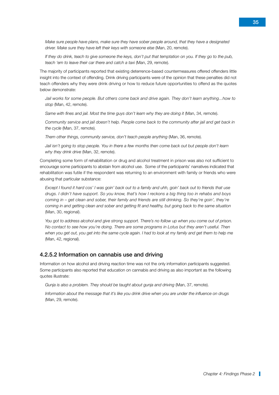*Make sure people have plans, make sure they have sober people around, that they have a designated driver. Make sure they have left their keys with someone else* (Man, 20, remote).

*If they do drink, teach to give someone the keys, don't put that temptation on you. If they go to the pub, teach 'em to leave their car there and catch a tax*i (Man, 29, remote).

The majority of participants reported that existing deterrence-based countermeasures offered offenders little insight into the context of offending. Drink driving participants were of the opinion that these penalties did not teach offenders why they were drink driving or how to reduce future opportunities to offend as the quotes below demonstrate:

*Jail works for some people. But others come back and drive again. They don't learn anything...how to stop* (Man, 42, remote).

Same with fines and jail. Most the time guys don't learn why they are doing it (Man, 34, remote).

*Community service and jail doesn't help. People come back to the community after jail and get back in the cycle* (Man, 37, remote).

*Them other things, community service, don't teach people anything (Man, 36, remote).* 

Jail isn't going to stop people. You in there a few months then come back out but people don't learn *why they drink drive* (Man, 32, remote).

Completing some form of rehabilitation or drug and alcohol treatment in prison was also not sufficient to encourage some participants to abstain from alcohol use. Some of the participants' narratives indicated that rehabilitation was futile if the respondent was returning to an environment with family or friends who were abusing that particular substance:

*Except I found it hard cos' I was goin' back out to a family and uhh, goin' back out to friends that use drugs. I didn't have support. So you know, that's how I reckons a big thing too in rehabs and boys coming in – get clean and sober, their family and friends are still drinking. So they're goin', they're coming in and getting clean and sober and getting fit and healthy, but going back to the same situation*  (Man, 30, regional).

*You got to address alcohol and give strong support. There's no follow up when you come out of prison. No contact to see how you're doing. There are some programs in Lotus but they aren't useful. Then*  when you get out, you get into the same cycle again. I had to look at my family and get them to help me (Man, 42, regional).

#### 4.2.5.2 Information on cannabis use and driving

Information on how alcohol and driving reaction time was not the only information participants suggested. Some participants also reported that education on cannabis and driving as also important as the following quotes illustrate:

*Gunja is also a problem. They should be taught about gunja and driving* (Man, 37, remote).

*Information about the message that it's like you drink drive when you are under the influence on drugs*  (Man, 29, remote).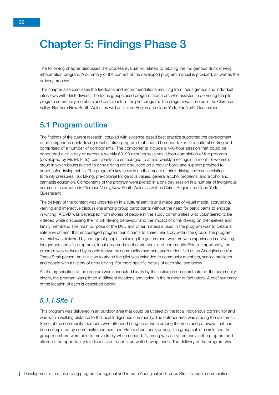# <span id="page-43-0"></span>Chapter 5: Findings Phase 3

The following chapter discusses the process evaluation related to piloting the Indigenous drink driving rehabilitation program. A summary of the content of the developed program manual is provided, as well as the delivery process.

This chapter also discusses the feedback and recommendations resulting from focus groups and individual interviews with drink drivers. The focus groups used program facilitators who assisted in delivering the pilot program community members and participants in the pilot program. The program was piloted in the Clarence Valley, Northern New South Wales, as well as Cairns Region and Cape York, Far North Queensland.

# 5.1 Program outline

The findings of the current research, coupled with evidence-based best practice supported the development of an Indigenous drink driving rehabilitation program that should be undertaken in a cultural setting and comprised of a number of components. The components include a 4–6 hour session that could be conducted over a day or across 4 weekly 60–90 minutes sessions. Upon completion of the program (developed by Ms M. Fitts), participants are encouraged to attend weekly meetings of a men's or women's group in which issues related to drink driving are discussed on a regular basis and support provided to adopt safer driving habits. The program's key focus is on the impact of drink driving and issues relating to family pressures, risk taking, pre-colonial Indigenous values, general alcohol problems, and alcohol and cannabis education. Components of the program were piloted in a one day session in a number of Indigenous communities situated in Clarence Valley, New South Wales as well as Cairns Region and Cape York, Queensland.

The delivery of the content was undertaken in a cultural setting and made use of visual media, storytelling, yarning and interactive discussions among group participants without the need for participants to engage in writing. A DVD was developed from stories of people in the study communities who volunteered to be videoed while discussing their drink driving behaviour and the impact of drink driving on themselves and family members. The main purpose of the DVD and other materials used in the program was to create a safe environment that encouraged program participants to share their story within the group. The program material was delivered by a range of people, including the government workers with experience in delivering Indigenous specific programs, local drug and alcohol workers, and community Elders. Importantly, the program was delivered by people known by community members and/or identified as an Aboriginal and/or Torres Strait person. An invitation to attend the pilot was extended to community members, service providers and people with a history of drink driving. For more specific details of each site, see below.

As the organisation of the program was conducted locally by the justice group coordinator or the community elders, the program was piloted in different locations and varied in the number of facilitators. A brief summary of the location of each is described below:

#### *5.1.1 Site 1*

This program was delivered in an outdoor area that could be utilised by the local Indigenous community and was within walking distance to the local Indigenous community. The outdoor area was among the rainforest. Some of the community members who attended hung up artwork among the trees and pathways that had been completed by community members and Elders about drink driving. The group sat in a circle and the group members were able to move freely when needed. Catering was delivered early in the program and afforded the opportunity for discussion to continue while having lunch. The delivery of the program was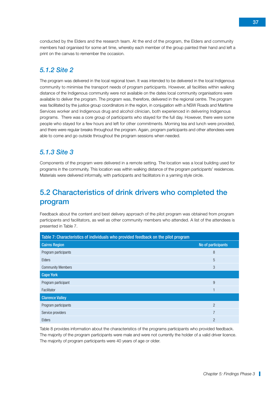<span id="page-44-0"></span>conducted by the Elders and the research team. At the end of the program, the Elders and community members had organised for some art time, whereby each member of the group painted their hand and left a print on the canvas to remember the occasion.

#### *5.1.2 Site 2*

The program was delivered in the local regional town. It was intended to be delivered in the local Indigenous community to minimise the transport needs of program participants. However, all facilities within walking distance of the Indigenous community were not available on the dates local community organisations were available to deliver the program. The program was, therefore, delivered in the regional centre. The program was facilitated by the justice group coordinators in the region, in conjugation with a NSW Roads and Maritime Services worker and Indigenous drug and alcohol clinician, both experienced in delivering Indigenous programs. There was a core group of participants who stayed for the full day. However, there were some people who stayed for a few hours and left for other commitments. Morning tea and lunch were provided, and there were regular breaks throughout the program. Again, program participants and other attendees were able to come and go outside throughout the program sessions when needed.

#### *5.1.3 Site 3*

Components of the program were delivered in a remote setting. The location was a local building used for programs in the community. This location was within walking distance of the program participants' residences. Materials were delivered informally, with participants and facilitators in a yarning style circle.

# 5.2 Characteristics of drink drivers who completed the program

Feedback about the content and best delivery approach of the pilot program was obtained from program participants and facilitators, as well as other community members who attended. A list of the attendees is presented in Table 7.

| Table 7: Characteristics of individuals who provided feedback on the pilot program |                    |  |  |  |
|------------------------------------------------------------------------------------|--------------------|--|--|--|
| <b>Cairns Region</b>                                                               | No of participants |  |  |  |
| Program participants                                                               | 8                  |  |  |  |
| Elders                                                                             | 5                  |  |  |  |
| <b>Community Members</b>                                                           | 3                  |  |  |  |
| <b>Cape York</b>                                                                   |                    |  |  |  |
| Program participant                                                                | 9                  |  |  |  |
| Facilitator                                                                        |                    |  |  |  |
| <b>Clarence Valley</b>                                                             |                    |  |  |  |
| Program participants                                                               | $\overline{2}$     |  |  |  |
| Service providers                                                                  | $\overline{7}$     |  |  |  |
| Elders                                                                             | $\mathcal{P}$      |  |  |  |

Table 8 provides information about the characteristics of the programs participants who provided feedback. The majority of the program participants were male and were not currently the holder of a valid driver licence. The majority of program participants were 40 years of age or older.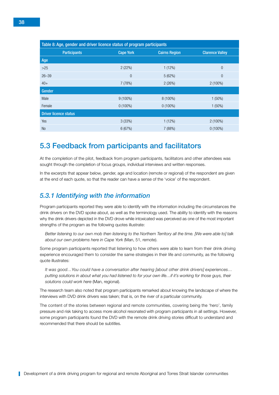<span id="page-45-0"></span>

| Table 8: Age, gender and driver licence status of program participants |                  |                      |                        |  |  |
|------------------------------------------------------------------------|------------------|----------------------|------------------------|--|--|
| <b>Participants</b>                                                    | <b>Cape York</b> | <b>Cairns Region</b> | <b>Clarence Valley</b> |  |  |
| Age                                                                    |                  |                      |                        |  |  |
| $>25$                                                                  | 2(22%)           | 1(12%)               | $\theta$               |  |  |
| $26 - 39$                                                              | $\overline{0}$   | 5(62%)               | $\theta$               |  |  |
| $40+$                                                                  | 7(78%)           | 2(26%)               | $2(100\%)$             |  |  |
| Gender                                                                 |                  |                      |                        |  |  |
| Male                                                                   | $9(100\%)$       | 8 (100%)             | $1(50\%)$              |  |  |
| Female                                                                 | $0(100\%)$       | $0(100\%)$           | $1(50\%)$              |  |  |
| <b>Driver licence status</b>                                           |                  |                      |                        |  |  |
| Yes                                                                    | 3(33%)           | 1(12%)               | $2(100\%)$             |  |  |
| <b>No</b>                                                              | 6(67%)           | 7(88%)               | $0(100\%)$             |  |  |

# 5.3 Feedback from participants and facilitators

At the completion of the pilot, feedback from program participants, facilitators and other attendees was sought through the completion of focus groups, individual interviews and written responses.

In the excerpts that appear below, gender, age and location (remote or regional) of the respondent are given at the end of each quote, so that the reader can have a sense of the 'voice' of the respondent.

#### *5.3.1 Identifying with the information*

Program participants reported they were able to identify with the information including the circumstances the drink drivers on the DVD spoke about, as well as the terminology used. The ability to identify with the reasons why the drink drivers depicted in the DVD drove while intoxicated was perceived as one of the most important strengths of the program as the following quotes illustrate:

*Better listening to our own mob then listening to the Northern Territory all the time. [We were able to] talk about our own problems here in Cape York* (Man, 51, remote).

Some program participants reported that listening to how others were able to learn from their drink driving experience encouraged them to consider the same strategies in their life and community, as the following quote illustrates:

*It was good…You could have a conversation after hearing [about other drink drivers] experiences… putting solutions in about what you had listened to for your own life…if it's working for those guys, their solutions could work here* (Man, regional).

The research team also noted that program participants remarked about knowing the landscape of where the interviews with DVD drink drivers was taken; that is, on the river of a particular community.

The content of the stories between regional and remote communities, covering being the 'hero', family pressure and risk taking to access more alcohol resonated with program participants in all settings. However, some program participants found the DVD with the remote drink driving stories difficult to understand and recommended that there should be subtitles.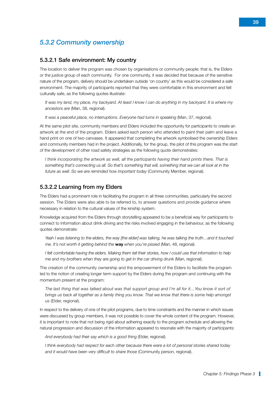#### *5.3.2 Community ownership*

#### 5.3.2.1 Safe environment: My country

The location to deliver the program was chosen by organisations or community people; that is, the Elders or the justice group of each community. For one community, it was decided that because of the sensitive nature of the program, delivery should be undertaken outside 'on country' as this would be considered a safe environment. The majority of participants reported that they were comfortable in this environment and felt culturally safe, as the following quotes illustrate:

*It was my land, my place, my backyard. At least I know I can do anything in my backyard. It is where my ancestors are* (Man, 38, regional).

*It was a peaceful place, no interruptions. Everyone had turns in speaking* (Man, 37, regional).

At the same pilot site, community members and Elders included the opportunity for participants to create an artwork at the end of the program. Elders asked each person who attended to paint their palm and leave a hand print on one of two canvases. It appeared that completing the artwork symbolised the ownership Elders and community members had in the project. Additionally, for the group, the pilot of this program was the start of the development of other road safety strategies as the following quote demonstrates:

*I think incorporating the artwork as well, all the participants having their hand prints there. That is something that's connecting us all. So that's something that will, something that we can all look at in the future as well. So we are reminded how important today* (Community Member, regional).

#### 5.3.2.2 Learning from my Elders

The Elders had a prominent role in facilitating the program in all three communities, particularly the second session. The Elders were also able to be referred to, to answer questions and provide guidance where necessary in relation to the cultural values of the kinship system.

Knowledge acquired from the Elders through storytelling appeared to be a beneficial way for participants to connect to information about drink driving and the risks involved engaging in the behaviour, as the following quotes demonstrate:

*Yeah I was listening to the elders, the way [the elder] was talking, he was talking the truth...and it touched me. It's not worth it getting behind the* **way** *when you're pissed* (Man, 48, regional).

*I felt comfortable having the elders. Making them tell their stories, how I could use that information to help me and my brothers when they are going to get in the car driving drunk (Man, regional).* 

The creation of the community ownership and the empowerment of the Elders to facilitate the program led to the notion of creating longer term support by the Elders during the program and continuing with the momentum present at the program:

*The last thing that was talked about was that support group and I'm all for it…You know it sort of brings us back all together as a family thing you know. That we know that there is some help amongst us* (Elder, regional).

In respect to the delivery of one of the pilot programs, due to time constraints and the manner in which issues were discussed by group members, it was not possible to cover the whole content of the program. However, it is important to note that not being rigid about adhering exactly to the program schedule and allowing the natural progression and discussion of the information appeared to resonate with the majority of participants:

*And everybody had their say which is a good thing* (Elder, regional).

*I think everybody had respect for each other because there were a lot of personal stories shared today and it would have been very difficult to share those* (Community person, regional).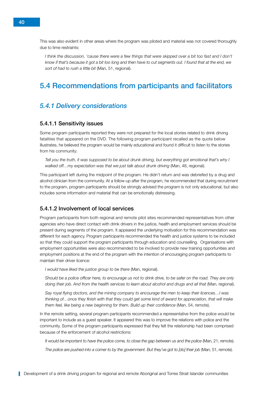<span id="page-47-0"></span>This was also evident in other areas where the program was piloted and material was not covered thoroughly due to time restraints:

*I think the discussion, 'cause there were a few things that were skipped over a bit too fast and I don't know if that's because it got a bit too long and then have to cut segments out. I found that at the end, we sort of had to rush a little bit* (Man, 51, regional).

# 5.4 Recommendations from participants and facilitators

#### *5.4.1 Delivery considerations*

#### 5.4.1.1 Sensitivity issues

Some program participants reported they were not prepared for the local stories related to drink driving fatalities that appeared on the DVD. The following program participant recalled as the quote below illustrates, he believed the program would be mainly educational and found it difficult to listen to the stories from his community:

*Tell you the truth, it was supposed to be about drunk driving, but everything got emotional that's why I walked off…my expectation was that we just talk about drunk driving* (Man, 48, regional).

This participant left during the midpoint of the program. He didn't return and was debriefed by a drug and alcohol clinician from the community. At a follow-up after the program, he recommended that during recruitment to the program, program participants should be strongly advised the program is not only educational, but also includes some information and material that can be emotionally distressing.

#### 5.4.1.2 Involvement of local services

Program participants from both regional and remote pilot sites recommended representatives from other agencies who have direct contact with drink drivers in the justice, health and employment services should be present during segments of the program. It appeared the underlying motivation for this recommendation was different for each agency. Program participants recommended the health and justice systems to be included so that they could support the program participants through education and counselling. Organisations with employment opportunities were also recommended to be involved to provide new training opportunities and employment positions at the end of the program with the intention of encouraging program participants to maintain their driver licence:

*I would have liked the justice group to be there* (Man, regional).

*Should be a police officer here, to encourage us not to drink drive, to be safer on the road. They are only*  doing their job. And from the health services to learn about alcohol and drugs and all that (Man, regional).

*Say royal flying doctors, and the mining company to encourage the men to keep their licences…I was thinking of…once they finish with that they could get some kind of award for appreciation, that will make*  them feel, like being a new beginning for them. Build up their confidence (Man, 54, remote).

In the remote setting, several program participants recommended a representative from the police would be important to include as a guest speaker. It appeared this was to improve the relations with police and the community. Some of the program participants expressed that they felt the relationship had been comprised because of the enforcement of alcohol restrictions:

*It would be important to have the police come, to close the gap between us and the police* (Man, 21, remote).

*The police are pushed into a corner to by the government. But they've got to [do] their job (Man, 51, remote).*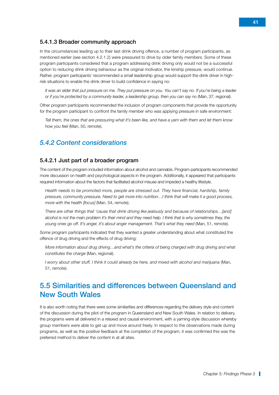#### <span id="page-48-0"></span>5.4.1.3 Broader community approach

In the circumstances leading up to their last drink driving offence, a number of program participants, as mentioned earlier (see section 4.2.1.2) were pressured to drive by older family members. Some of these program participants considered that a program addressing drink driving only would not be a successful option to reducing drink driving behaviour as the original motivator, the kinship pressure, would continue. Rather, program participants' recommended a small leadership group would support the drink driver in highrisk situations to enable the drink driver to build confidence in saying no:

*It was an elder that put pressure on me. They put pressure on you. You can't say no. If you're being a leader or if you're protected by a community leader, a leadership group, then you can say no* (Man, 37, regional).

Other program participants recommended the inclusion of program components that provide the opportunity for the program participant to confront the family member who was applying pressure in safe environment:

*Tell them, the ones that are pressuring what it's been like, and have a yarn with them and let them know how you feel* (Man, 50, remote).

#### *5.4.2 Content considerations*

#### 5.4.2.1 Just part of a broader program

The content of the program included information about alcohol and cannabis. Program participants recommended more discussion on health and psychological aspects in the program. Additionally, it appeared that participants required information about the factors that facilitated alcohol misuse and impeded a healthy lifestyle.

*Health needs to be promoted more, people are stressed out. They have financial, hardship, family pressure, community pressure. Need to get more into nutrition…I think that will make it a good process, more with the health [focus]* (Man, 54, remote).

*There are other things that 'cause that drink driving like jealously and because of relationships…[and] alcohol is not the main problem it's their mind and they need help. I think that is why sometimes they, the young ones go off. It's anger, it's about anger management. That's what they need* (Man, 51, remote).

Some program participants indicated that they wanted a greater understanding about what constituted the offence of drug driving and the effects of drug driving:

*More information about drug driving…and what's the criteria of being charged with drug driving and what constitutes the charge* (Man, regional).

*I worry about other stuff, I think it could already be here, and mixed with alcohol and marijuana (Man,* 51, remote).

# 5.5 Similarities and differences between Queensland and New South Wales

It is also worth noting that there were some similarities and differences regarding the delivery style and content of the discussion during the pilot of the program in Queensland and New South Wales. In relation to delivery, the programs were all delivered in a relaxed and causal environment, with a yarning-style discussion whereby group members were able to get up and move around freely. In respect to the observations made during programs, as well as the positive feedback at the completion of the program, it was confirmed this was the preferred method to deliver the content in at all sites.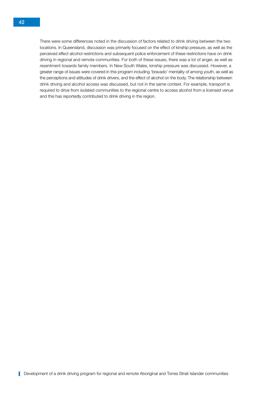There were some differences noted in the discussion of factors related to drink driving between the two locations. In Queensland, discussion was primarily focused on the effect of kinship pressure, as well as the perceived effect alcohol restrictions and subsequent police enforcement of these restrictions have on drink driving in regional and remote communities. For both of these issues, there was a lot of anger, as well as resentment towards family members. In New South Wales, kinship pressure was discussed. However, a greater range of issues were covered in this program including 'bravado' mentality of among youth, as well as the perceptions and attitudes of drink drivers, and the effect of alcohol on the body. The relationship between drink driving and alcohol access was discussed, but not in the same context. For example, transport is required to drive from isolated communities to the regional centre to access alcohol from a licensed venue and this has reportedly contributed to drink driving in the region.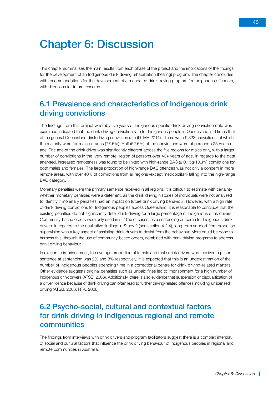# <span id="page-50-0"></span>Chapter 6: Discussion

This chapter summarises the main results from each phase of the project and the implications of the findings for the development of an Indigenous drink driving rehabilitation (healing) program. The chapter concludes with recommendations for the development of a mandated drink driving program for Indigenous offenders, with directions for future research.

# 6.1 Prevalence and characteristics of Indigenous drink driving convictions

The findings from this project whereby five years of Indigenous specific drink driving conviction data was examined indicated that the drink driving conviction rate for Indigenous people in Queensland is 6 times that of the general Queensland drink driving conviction rate (DTMR 2011). There were 9,323 convictions, of which the majority were for male persons (77.5%). Half (52.6%) of the convictions were of persons <25 years of age. The age of the drink driver was significantly different across the five regions for males only, with a larger number of convictions in the 'very remote' region of persons over 40+ years of age. In regards to the data analysed, increased remoteness was found to be linked with high-range BAC (≥ 0.15g/100ml) convictions for both males and females. The large proportion of high-range BAC offences was not only a concern in more remote areas, with over 40% of convictions from all regions (except metropolitan) falling into the high-range BAC category.

Monetary penalties were the primary sentence received in all regions. It is difficult to estimate with certainty whether monetary penalties were a deterrent, as the drink driving histories of individuals were not analysed to identify if monetary penalties had an impact on future drink driving behaviour. However, with a high rate of drink driving convictions for Indigenous peoples across Queensland, it is reasonable to conclude that the existing penalties do not significantly deter drink driving for a large percentage of Indigenous drink drivers. Community-based orders were only used in 5–10% of cases, as a sentencing outcome for Indigenous drink drivers. In regards to the qualitative findings in Study 2 (see section 4.2.4), long-term support from probation supervision was a key aspect of assisting drink drivers to desist from the behaviour. More could be done to harness this, through the use of community-based orders, combined with drink driving programs to address drink driving behaviour.

In relation to imprisonment, the average proportion of female and male drink drivers who received a prison sentence at sentencing was 2% and 8% respectively. It is expected that this is an underestimation of the number of Indigenous peoples spending time in a correctional centre for drink driving-related matters. Other evidence suggests original penalties such as unpaid fines led to imprisonment for a high number of Indigenous drink drivers (ATSB, 2006). Additionally, there is also evidence that suspension or disqualification of a driver licence because of drink driving can often lead to further driving-related offences including unlicensed driving (ATSB, 2006; RTA, 2008).

# 6.2 Psycho-social, cultural and contextual factors for drink driving in Indigenous regional and remote communities

The findings from interviews with drink drivers and program facilitators suggest there is a complex interplay of social and cultural factors that influence the drink driving behaviour of Indigenous peoples in regional and remote communities in Australia.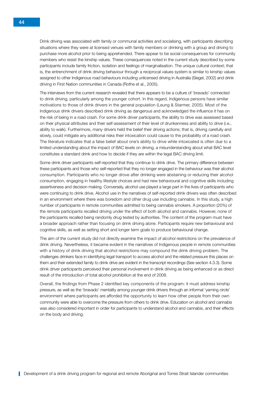Drink driving was associated with family or communal activities and socialising, with participants describing situations where they were at licensed venues with family members or drinking with a group and driving to purchase more alcohol prior to being apprehended. There appear to be social consequences for community members who resist the kinship values. These consequences noted in the current study described by some participants include family friction, isolation and feelings of marginalisation. The unique cultural context; that is, the entrenchment of drink driving behaviour through a reciprocal values system is similar to kinship values assigned to other Indigenous road behaviours including unlicensed driving in Australia (Siegel, 2002) and drink driving in First Nation communities in Canada (Rothe et al., 2005).

The interviews from the current research revealed that there appears to be a culture of 'bravado' connected to drink driving, particularly among the younger cohort. In this regard, Indigenous persons have similar motivations to those of drink drivers in the general population (Leung & Starmer, 2005). Most of the Indigenous drink drivers described drink driving as dangerous and acknowledged the influence it has on the risk of being in a road crash. For some drink driver participants, the ability to drive was assessed based on their physical attributes and their self-assessment of their level of drunkenness and ability to drive (i.e., ability to walk). Furthermore, many drivers held the belief their driving actions; that is, driving carefully and slowly, could mitigate any additional risks their intoxication could cause to the probability of a road crash. The literature indicates that a false belief about one's ability to drive while intoxicated is often due to a limited understanding about the impact of BAC levels on driving, a misunderstanding about what BAC level constitutes a standard drink and how to decide if they are within the legal BAC driving limit.

Some drink driver participants self-reported that they continue to drink drive. The primary difference between these participants and those who self-reported that they no longer engaged in the behaviour was their alcohol consumption. Participants who no longer drove after drinking were abstaining or reducing their alcohol consumption, engaging in healthy lifestyle choices and had new behavioural and cognitive skills including assertiveness and decision making. Conversely, alcohol use played a large part in the lives of participants who were continuing to drink drive. Alcohol use in the narratives of self-reported drink drivers was often described in an environment where there was boredom and other drug use including cannabis. In this study, a high number of participants in remote communities admitted to being cannabis smokers. A proportion (20%) of the remote participants recalled driving under the effect of both alcohol and cannabis. However, none of the participants recalled being randomly drug tested by authorities. The content of the program must have a broader approach rather than focusing on drink driving alone. Participants require new behavioural and cognitive skills, as well as setting short and longer term goals to produce behavioural change.

The aim of the current study did not directly examine the impact of alcohol restrictions on the prevalence of drink driving. Nevertheless, it became evident in the narratives of Indigenous people in remote communities with a history of drink driving that alcohol restrictions may compound the drink driving problem. The challenges drinkers face in identifying legal transport to access alcohol and the related pressure this places on them and their extended family to drink drive are evident in the transcript recordings (See section 4.3.3). Some drink driver participants perceived their personal involvement in drink driving as being enhanced or as direct result of the introduction of total alcohol prohibition at the end of 2008.

Overall, the findings from Phase 2 identified key components of the program: it must address kinship pressure, as well as the 'bravado' mentality among younger drink drivers through an informal 'yarning circle' environment where participants are afforded the opportunity to learn how other people from their own community were able to overcome the pressure from others to drink drive. Education on alcohol and cannabis was also considered important in order for participants to understand alcohol and cannabis, and their effects on the body and driving.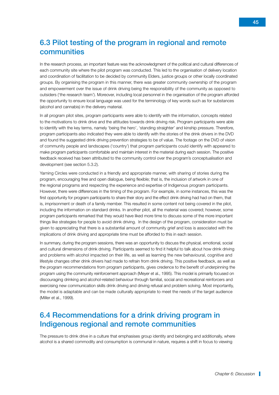# <span id="page-52-0"></span>6.3 Pilot testing of the program in regional and remote **communities**

In the research process, an important feature was the acknowledgment of the political and cultural differences of each community site where the pilot program was conducted. This led to the organisation of delivery location and coordination of facilitation to be decided by community Elders, justice groups or other locally coordinated groups. By organising the program in this manner, there was greater community ownership of the program and empowerment over the issue of drink driving being the responsibility of the community as opposed to outsiders ('the research team'). Moreover, including local personnel in the organisation of the program afforded the opportunity to ensure local language was used for the terminology of key words such as for substances (alcohol and cannabis) in the delivery material.

In all program pilot sites, program participants were able to identify with the information, concepts related to the motivations to drink drive and the attitudes towards drink driving risk. Program participants were able to identify with the key terms, namely 'being the hero', 'standing straighter' and kinship pressure. Therefore, program participants also indicated they were able to identify with the stories of the drink drivers in the DVD and found the suggested drink driving prevention strategies to be of value. The footage on the DVD of vision of community people and landscapes ('country') that program participants could identify with appeared to make program participants comfortable and maintain interest in the material during each session. The positive feedback received has been attributed to the community control over the program's conceptualisation and development (see section 5.3.2).

Yarning Circles were conducted in a friendly and appropriate manner, with sharing of stories during the program, encouraging free and open dialogue, being flexible; that is, the inclusion of artwork in one of the regional programs and respecting the experience and expertise of Indigenous program participants. However, there were differences in the timing of the program. For example, in some instances, this was the first opportunity for program participants to share their story and the effect drink driving had had on them, that is, imprisonment or death of a family member. This resulted in some content not being covered in the pilot, including the information on standard drinks. In another pilot, all the material was covered; however, some program participants remarked that they would have liked more time to discuss some of the more important things like strategies for people to avoid drink driving. In the design of the program, consideration must be given to appreciating that there is a substantial amount of community grief and loss is associated with the implications of drink driving and appropriate time must be afforded to this in each session.

In summary, during the program sessions, there was an opportunity to discuss the physical, emotional, social and cultural dimensions of drink driving. Participants seemed to find it helpful to talk about how drink driving and problems with alcohol impacted on their life, as well as learning the new behavioural, cognitive and lifestyle changes other drink drivers had made to refrain from drink driving. This positive feedback, as well as the program recommendations from program participants, gives credence to the benefit of underpinning the program using the community reinforcement approach (Meyer et al., 1995). This model is primarily focused on discouraging drinking and alcohol-related behaviour through familial, social and recreational reinforcers and exercising new communication skills drink driving and driving refusal and problem solving. Most importantly, the model is adaptable and can be made culturally appropriate to meet the needs of the target audience (Miller et al., 1999).

# 6.4 Recommendations for a drink driving program in Indigenous regional and remote communities

The pressure to drink drive in a culture that emphasises group identity and belonging and additionally, where alcohol is a shared commodity and consumption is communal in nature, requires a shift in focus to viewing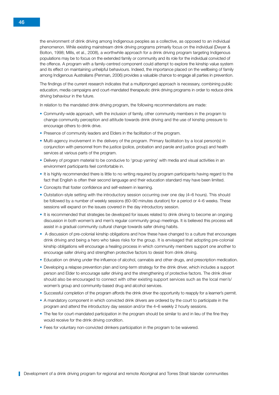the environment of drink driving among Indigenous peoples as a collective, as opposed to an individual phenomenon. While existing mainstream drink driving programs primarily focus on the individual (Dwyer & Bolton, 1998; Mills, et al., 2008), a worthwhile approach for a drink driving program targeting Indigenous populations may be to focus on the extended family or community and its role for the individual convicted of the offence. A program with a family-centred component could attempt to explore the kinship value system and its effect on maintaining unhelpful behaviours. Indeed, the importance placed on the wellbeing of family among Indigenous Australians (Penman, 2006) provides a valuable chance to engage all parties in prevention.

The findings of the current research indicates that a multipronged approach is necessary, combining public education, media campaigns and court-mandated therapeutic drink driving programs in order to reduce drink driving behaviour in the future.

In relation to the mandated drink driving program, the following recommendations are made:

- Community-wide approach, with the inclusion of family, other community members in the program to change community perception and attitude towards drink driving and the use of kinship pressure to encourage others to drink drive.
- Presence of community leaders and Elders in the facilitation of the program.
- Multi-agency involvement in the delivery of the program. Primary facilitation by a local person(s) in conjunction with personnel from the justice (police, probation and parole and justice group) and health services at various parts of the program.
- Delivery of program material to be conducive to 'group yarning' with media and visual activities in an environment participants feel comfortable in.
- It is highly recommended there is little to no writing required by program participants having regard to the fact that English is often their second language and their education standard may have been limited.
- Concepts that foster confidence and self-esteem in learning.
- Outstation-style setting with the introductory session occurring over one day (4–6 hours). This should be followed by a number of weekly sessions (60–90 minutes duration) for a period or 4–6 weeks. These sessions will expand on the issues covered in the day introductory session.
- It is recommended that strategies be developed for issues related to drink driving to become an ongoing discussion in both women's and men's regular community group meetings. It is believed this process will assist in a gradual community cultural change towards safer driving habits.
- A discussion of pre-colonial kinship obligations and how these have changed to a culture that encourages drink driving and being a hero who takes risks for the group. It is envisaged that adopting pre-colonial kinship obligations will encourage a healing process in which community members support one another to encourage safer driving and strengthen protective factors to desist from drink driving.
- Education on driving under the influence of alcohol, cannabis and other drugs, and prescription medication.
- Developing a relapse prevention plan and long-term strategy for the drink driver, which includes a support person and Elder to encourage safer driving and the strengthening of protective factors. The drink driver should also be encouraged to connect with other existing support services such as the local men's/ women's group and community-based drug and alcohol services.
- Successful completion of the program affords the drink driver the opportunity to reapply for a learner's permit.
- A mandatory component in which convicted drink drivers are ordered by the court to participate in the program and attend the introductory day session and/or the 4–6 weekly 2 hourly sessions.
- The fee for court-mandated participation in the program should be similar to and in lieu of the fine they would receive for the drink driving condition.
- Fees for voluntary non-convicted drinkers participation in the program to be waivered.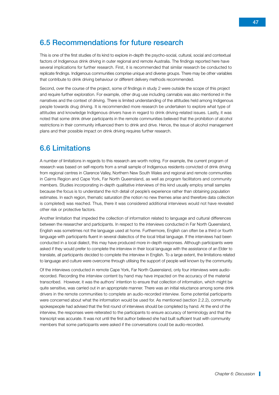# <span id="page-54-0"></span>6.5 Recommendations for future research

This is one of the first studies of its kind to explore in-depth the psycho-social, cultural, social and contextual factors of Indigenous drink driving in outer regional and remote Australia. The findings reported here have several implications for further research. First, it is recommended that similar research be conducted to replicate findings. Indigenous communities comprise unique and diverse groups. There may be other variables that contribute to drink driving behaviour or different delivery methods recommended.

Second, over the course of the project, some of findings in study 2 were outside the scope of this project and require further exploration. For example, other drug use including cannabis was also mentioned in the narratives and the context of driving. There is limited understanding of the attitudes held among Indigenous people towards drug driving. It is recommended more research be undertaken to explore what type of attitudes and knowledge Indigenous drivers have in regard to drink driving-related issues. Lastly, it was noted that some drink driver participants in the remote communities believed that the prohibition of alcohol restrictions in their community influenced them to drink and drive. Hence, the issue of alcohol management plans and their possible impact on drink driving requires further research.

# 6.6 Limitations

A number of limitations in regards to this research are worth noting. For example, the current program of research was based on self-reports from a small sample of Indigenous residents convicted of drink driving from regional centres in Clarence Valley, Northern New South Wales and regional and remote communities in Cairns Region and Cape York, Far North Queensland, as well as program facilitators and community members. Studies incorporating in-depth qualitative interviews of this kind usually employ small samples because the focus is to understand the rich detail of people's experience rather than obtaining population estimates. In each region, thematic saturation (the notion no new themes arise and therefore data collection is completed) was reached. Thus, there it was considered additional interviews would not have revealed other risk or protective factors.

Another limitation that impeded the collection of information related to language and cultural differences between the researcher and participants. In respect to the interviews conducted in Far North Queensland, English was sometimes not the language used at home. Furthermore, English can often be a third or fourth language with participants fluent in several dialectics of the local tribal language. If the interviews had been conducted in a local dialect, this may have produced more in-depth responses. Although participants were asked if they would prefer to complete the interview in their local language with the assistance of an Elder to translate, all participants decided to complete the interview in English. To a large extent, the limitations related to language and culture were overcome through utilising the support of people well known by the community.

Of the interviews conducted in remote Cape York, Far North Queensland, only four interviews were audiorecorded. Recording the interview content by hand may have impacted on the accuracy of the material transcribed. However, it was the authors' intention to ensure that collection of information, which might be quite sensitive, was carried out in an appropriate manner. There was an initial reluctance among some drink drivers in the remote communities to complete an audio-recorded interview. Some potential participants were concerned about what the information would be used for. As mentioned (section 2.2.2), community spokespeople had advised that the first round of interviews should be completed by hand. At the end of the interview, the responses were reiterated to the participants to ensure accuracy of terminology and that the transcript was accurate. It was not until the first author believed she had built sufficient trust with community members that some participants were asked if the conversations could be audio-recorded.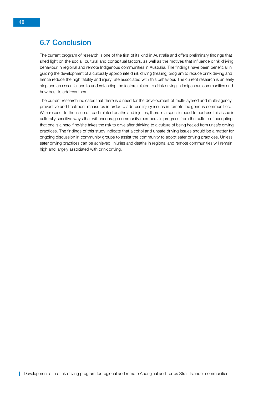# <span id="page-55-0"></span>6.7 Conclusion

The current program of research is one of the first of its kind in Australia and offers preliminary findings that shed light on the social, cultural and contextual factors, as well as the motives that influence drink driving behaviour in regional and remote Indigenous communities in Australia. The findings have been beneficial in guiding the development of a culturally appropriate drink driving (healing) program to reduce drink driving and hence reduce the high fatality and injury rate associated with this behaviour. The current research is an early step and an essential one to understanding the factors related to drink driving in Indigenous communities and how best to address them.

The current research indicates that there is a need for the development of multi-layered and multi-agency preventive and treatment measures in order to address injury issues in remote Indigenous communities. With respect to the issue of road-related deaths and injuries, there is a specific need to address this issue in culturally sensitive ways that will encourage community members to progress from the culture of accepting that one is a hero if he/she takes the risk to drive after drinking to a culture of being healed from unsafe driving practices. The findings of this study indicate that alcohol and unsafe driving issues should be a matter for ongoing discussion in community groups to assist the community to adopt safer driving practices. Unless safer driving practices can be achieved, injuries and deaths in regional and remote communities will remain high and largely associated with drink driving.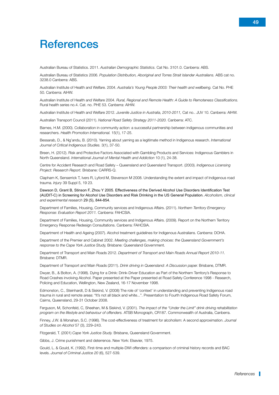# <span id="page-56-0"></span>**References**

Australian Bureau of Statistics. 2011. *Australian Demographic Statistics.* Cat No. 3101.0. Canberra: ABS.

Australian Bureau of Statistics 2006. *Population Distribution, Aboriginal and Torres Strait Islander Australians.* ABS cat no. 3238.0 Canberra: ABS.

Australian Institute of Health and Welfare. 2004. *Australia's Young People 2003: Their health and wellbeing.* Cat No. PHE 50. Canberra: AIHW.

Australian Institute of Health and Welfare 2004. *Rural, Regional and Remote Health: A Guide to Remoteness Classifications.* Rural health series no.4. Cat. no. PHE 53. Canberra: AIHW.

Australian Institute of Health and Welfare 2012. *Juvenile Justice in Australia, 2010-2011,* Cat no.. JUV 10. Canberra: AIHW.

Australian Transport Council (2011). *National Road Safety Strategy 2011-2020.* Canberra: ATC.

Barnes, H.M. (2000). Collaboration in community action: a successful partnership between indigenous communities and researchers. *Health Promotion International.* 15(1), 17-25.

Bessarab, D., & Ng'andu, B. (2010). Yarning about yarning as a legitimate method in Indigenous research. *International Journal of Critical Indigenous Studies.* 3(1), 37-50.

Breen, H. (2012). Risk and Protective Factors Associated with Gambling Products and Services: Indigenous Gamblers in North Queensland. *International Journal of Mental Health and Addiction* 10 (1), 24-38.

Centre for Accident Research and Road Safety – Queensland and Queensland Transport. (2003). *Indigenous Licensing Project: Research Report.* Brisbane: CARRS-Q.

Clapham K, Senserrick T, Ivers R, Lyford M, Stevenson M 2008. Understanding the extent and impact of Indigenous road trauma. *Injury* 39 Suppl 5, 19 23.

Dawson D, Grant B, Stinson F, Zhou Y 2005. Effectiveness of the Derived Alcohol Use Disorders Identification Test (AUDIT-C) in Screening for Alcohol Use Disorders and Risk Drinking in the US General Population. *Alcoholism, clinical and experimental research* 29 (5), 844-854.

Department of Families, Housing, Community services and Indigenous Affairs. (2011). *Northern Territory Emergency Response: Evaluation Report 2011.* Canberra: FAHCSIA.

Department of Families, Housing, Community services and Indigenous Affairs. (2009). Report on the Northern Territory Emergency Response Redesign Consultations. Canberra: FAHCSIA.

Department of Health and Ageing (2007). Alcohol treatment guidelines for Indigenous Australians. Canberra: DOHA.

Department of the Premier and Cabinet 2002. *Meeting challenges, making choices: the Queensland Government's response to the Cape York Justice Study,* Brisbane: Queensland Government.

Department of Transport and Main Roads 2012. *Department of Transport and Main Roads Annual Report 2010-11.*  Brisbane: DTMR.

Department of Transport and Main Roads (2011). *Drink driving in Queensland: A Discussion paper.* Brisbane, DTMR.

Dwyer, B., & Bolton, A. (1998). Dying for a Drink: Drink-Driver Education as Part of the Northern Territory's Response to Road Crashes involving Alcohol. Paper presented at the Paper presented at Road Safety Conference 1998 - Research, Policing and Education, Wellington, New Zealand, 16-17 November 1998.

Edmonston, C., Steinhardt, D & Siskind, V. (2008) The role of 'context' in understanding and preventing Indigenous road trauma in rural and remote areas: "It's not all black and white...". Presentation to Fourth Indigenous Road Safety Forum, Cairns, Queensland, 29-31 October 2008.

Ferguson, M, Schonfeld, C, Sheehan, M & Siskind, V. (2001). *The impact of the "Under the Limit" drink driving rehabilitation program on the lifestyle and behaviour of offenders.* ATSB Monograph, CR187. Commonwealth of Australia, Canberra.

Finney, J.W. & Monahan, S.C. (1996). The cost-effectiveness of treatment for alcoholism: A second approximation. *Journal of Studies on Alcohol* 57 (3), 229–243.

Fitzgerald, T. (2001) *Cape York Justice Study.* Brisbane, Queensland Government.

Gibbs, J. Crime punishment and deterrence. New York: Elsevier, 1975.

Gould, L. & Gould, K. (1992). First-time and multiple-DWI offenders: a comparison of criminal history records and BAC levels. *Journal of Criminal Justice 20* (6), 527-539.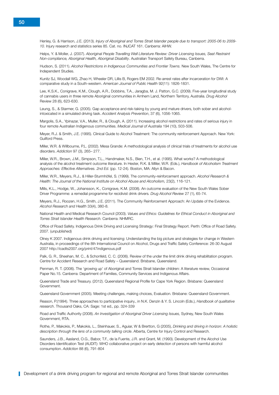Henley, G. & Harrison, J.E. (2013). *Injury of Aboriginal and Torres Strait Islander people due to transport: 2005-06 to 2009- 10.* Injury research and statistics series 85. Cat. no. INJCAT 161. Canberra: AIHW.

Helps, Y. & Moller, J. (2007). *[Aboriginal People Travelling Well Literature Review: Driver Licensing Issues, Seat Restraint](http://www.lowitja.org.au/sites/default/files/docs/Travelling-Well_lit-review_2007.pdf)  [Non-compliance, Aboriginal Health, Aboriginal Disability](http://www.lowitja.org.au/sites/default/files/docs/Travelling-Well_lit-review_2007.pdf)*. Australian Transport Safety Bureau, Canberra.

Hudson, S. (2011). *Alcohol Restrictions in Indigenous Communities and Frontier Towns.* New South Wales, The Centre for Independent Studies.

Kunitz SJ, Woodall WG, Zhao H, Wheeler DR, Lillis B, Rogers EM 2002. Re-arrest rates after incarceration for DWI: A comparative study in a South-western. *American Journal of Public Health* 92(11): 1826-1831.

Lee, K.S.K., Conigrave, K.M., Clough, A.R., Dobbins, T.A., Jaragba, M. J. Patton, G.C. (2009). Five-year longitudinal study of cannabis users in three remote Aboriginal communities in Arnhem Land, Northern Territory, Australia. *Drug Alcohol*  Review 28 (6), 623-630.

Leung, S., & Starmer, G. (2005). Gap acceptance and risk-taking by young and mature drivers, both sober and alcoholintoxicated in a simulated driving task. *Accident Analysis Prevention*, 37 (6), 1056-1065.

Margolis, S.A., Ypinazar, V.A., Muller, R., & Clough, A. (2011). Increasing alcohol restrictions and rates of serious injury in four remote Australian Indigenous communities. *Medical Journal of Australia* 194 (10), 503-506.

Meyer, R.J. & Smith, J.E. (1995). Clinical Guide to Alcohol Treatment: The community reinforcement Approach. New York: Guilford Press.

Miller, W.R. & Willbourne, P.L. (2002). Mesa Grande: A methodological analysis of clinical trials of treatments for alcohol use disorders. *Addiction* 97 (3), 265– 277.

Miller, W.R., Brown, J.M., Simpson, T.L., Handmaker, N.S., Bien, T.H., et al. (1995). What works? A methodological analysis of the alcohol treatment outcome literature. In Hester, R.K. & Miller, W.R. (Eds.), *Handbook of Alcoholism Treatment Approaches: Effective Alternatives. 2nd Ed.* (pp. 12-24). Boston, MA: Allyn & Bacon.

Miller, W.R., Meyers, R.J., & Hiller-Sturmhöfel, S. (1999). The community-reinforcement approach. *Alcohol Research &*  Health: The Journal of the National Institute on Alcohol Abuse and Alcoholism, 23(2), 116-121.

[Mills, K.L](http://www.ncbi.nlm.nih.gov/pubmed?term=%22Mills%20KL%22%5BAuthor%5D)., [Hodge, W](http://www.ncbi.nlm.nih.gov/pubmed?term=%22Hodge%20W%22%5BAuthor%5D)., [Johansson, K](http://www.ncbi.nlm.nih.gov/pubmed?term=%22Johansson%20K%22%5BAuthor%5D)., [Conigrave, K.M](http://www.ncbi.nlm.nih.gov/pubmed?term=%22Conigrave%20KM%22%5BAuthor%5D). (2008). An outcome evaluation of the New South Wales Sober Driver Programme: a remedial programme for recidivist drink drivers*. Drug Alcohol Review* 27 (1), 65-74.

Meyers, R.J., Roozen, H.G., Smith, J.E. (2011). The Community Reinforcement Approach: An Update of the Evidence. *Alcohol Research and Health* 33(4), 380-8.

National Health and Medical Research Council (2003). *Values and Ethics: Guidelines for Ethical Conduct in Aboriginal and Torres Strait Islander Health Research.* Canberra: NHMRC.

Office of Road Safety. Indigenous Drink Driving and Licensing Strategy: Final Strategy Report. Perth: Office of Road Safety. 2007. (unpublished)

Olney K 2007. Indigenous drink driving and licensing: Understanding the big picture and strategies for change in Western Australia, in proceedings of the 8th International Council on Alcohol, Drugs and Traffic Safety Conference: 26-30 August 2007 http://icadts2007.org/print/47indigenous.pdf

Palk, G. R., Sheehan, M. C., & Schonfeld, C. C. (2006). Review of the under the limit drink driving rehabilitation program. Centre for Accident Research and Road Safety – Queensland. Brisbane, Queensland.

Penman, R. T. (2006). The 'growing up' of Aboriginal and Torres Strait Islander children: A literature review, Occasional Paper No.15. Canberra: Department of Families, Community Services and Indigenous Affairs.

Queensland Trade and Treasury. (2012). Queensland Regional Profile for Cape York Region. Brisbane: Queensland Government.

Queensland Government (2005). Meeting challenges, making choices, Evaluation. Brisbane: Queensland Government.

Reason, P.(1994). Three approaches to participative inquiry., in N.K. Denzin & Y. S. Lincoln (Eds.), *Handbook of qualitative research*. Thousand Oaks, CA: Sage: 1st ed., pp. 324-339

Road and Traffic Authority (2008). *An Investigation of Aboriginal Driver Licensing Issues,* Sydney, New South Wales Government, RTA.

Rothe, P., Makokis, P., Makokis, L., Steinhauer, S., Aguiar, W & Brertton, G (2005), *Drinking and driving in horizon: A holistic description through the lens of a community talking circle*. Alberta, Centre for Injury Control and Research.

Saunders, J.B., Aasland, O.G., Babor, T.F., de la Fuente, J.R. and Grant, M. (1993). Development of the Alcohol Use Disorders Identification Test (AUDIT): WHO collaborative project on early detection of persons with harmful alcohol consumption. *Addiction* 88 (6), 791-804